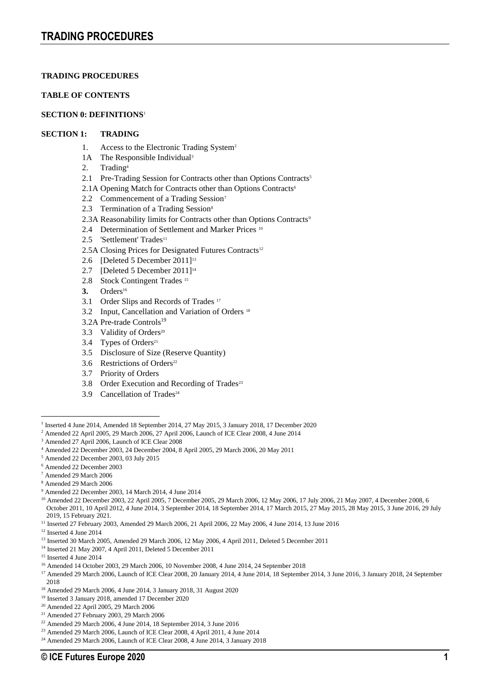## **TABLE OF CONTENTS**

## **SECTION 0: DEFINITIONS**<sup>1</sup>

## **SECTION 1: TRADING**

- 1. Access to the Electronic Trading System<sup>2</sup>
- 1A The Responsible Individual<sup>3</sup>
- 2. Trading<sup>4</sup>
- 2.1 Pre-Trading Session for Contracts other than Options Contracts<sup>5</sup>
- 2.1A Opening Match for Contracts other than Options Contracts<sup>6</sup>
- 2.2 Commencement of a Trading Session<sup>7</sup>
- 2.3 Termination of a Trading Session<sup>8</sup>
- 2.3A Reasonability limits for Contracts other than Options Contracts<sup>9</sup>
- 2.4 Determination of Settlement and Marker Prices<sup>10</sup>
- 2.5 'Settlement' Trades<sup>11</sup>
- 2.5A Closing Prices for Designated Futures Contracts<sup>12</sup>
- 2.6 [Deleted 5 December 2011]<sup>13</sup>
- 2.7 [Deleted 5 December 2011]<sup>14</sup>
- 2.8 Stock Contingent Trades<sup>15</sup>
- 3. Orders<sup>16</sup>
- 3.1 Order Slips and Records of Trades 17
- 3.2 Input, Cancellation and Variation of Orders <sup>18</sup>
- 3.2A Pre-trade Controls<sup>19</sup>
- 3.3 Validity of Orders<sup>20</sup>
- 3.4 Types of Orders<sup>21</sup>
- 3.5 Disclosure of Size (Reserve Quantity)
- 3.6 Restrictions of Orders<sup>22</sup>
- 3.7 Priority of Orders
- 3.8 Order Execution and Recording of Trades<sup>23</sup>
- 3.9 Cancellation of Trades<sup>24</sup>

<sup>2</sup> Amended 22 April 2005, 29 March 2006, 27 April 2006, Launch of ICE Clear 2008, 4 June 2014

- <sup>5</sup> Amended 22 December 2003, 03 July 2015
- <sup>6</sup> Amended 22 December 2003
- <sup>7</sup> Amended 29 March 2006
- <sup>8</sup> Amended 29 March 2006
- <sup>9</sup> Amended 22 December 2003, 14 March 2014, 4 June 2014

<sup>10</sup> Amended 22 December 2003, 22 April 2005, 7 December 2005, 29 March 2006, 12 May 2006, 17 July 2006, 21 May 2007, 4 December 2008, 6 October 2011, 10 April 2012, 4 June 2014, 3 September 2014, 18 September 2014, 17 March 2015, 27 May 2015, 28 May 2015, 3 June 2016, 29 July 2019, 15 February 2021.

- <sup>11</sup> Inserted 27 February 2003, Amended 29 March 2006, 21 April 2006, 22 May 2006, 4 June 2014, 13 June 2016
- <sup>12</sup> Inserted 4 June 2014
- <sup>13</sup> Inserted 30 March 2005, Amended 29 March 2006, 12 May 2006, 4 April 2011, Deleted 5 December 2011
- <sup>14</sup> Inserted 21 May 2007, 4 April 2011, Deleted 5 December 2011
- <sup>15</sup> Inserted 4 June 2014
- <sup>16</sup> Amended 14 October 2003, 29 March 2006, 10 November 2008, 4 June 2014, 24 September 2018
- <sup>17</sup> Amended 29 March 2006, Launch of ICE Clear 2008, 20 January 2014, 4 June 2014, 18 September 2014, 3 June 2016, 3 January 2018, 24 September 2018
- <sup>18</sup> Amended 29 March 2006, 4 June 2014, 3 January 2018, 31 August 2020
- <sup>19</sup> Inserted 3 January 2018, amended 17 December 2020
- <sup>20</sup> Amended 22 April 2005, 29 March 2006
- <sup>21</sup> Amended 27 February 2003, 29 March 2006

- <sup>23</sup> Amended 29 March 2006, Launch of ICE Clear 2008, 4 April 2011, 4 June 2014
- <sup>24</sup> Amended 29 March 2006, Launch of ICE Clear 2008, 4 June 2014, 3 January 2018

<sup>1</sup> Inserted 4 June 2014, Amended 18 September 2014, 27 May 2015, 3 January 2018, 17 December 2020

<sup>3</sup> Amended 27 April 2006, Launch of ICE Clear 2008

<sup>4</sup> Amended 22 December 2003, 24 December 2004, 8 April 2005, 29 March 2006, 20 May 2011

<sup>22</sup> Amended 29 March 2006, 4 June 2014, 18 September 2014, 3 June 2016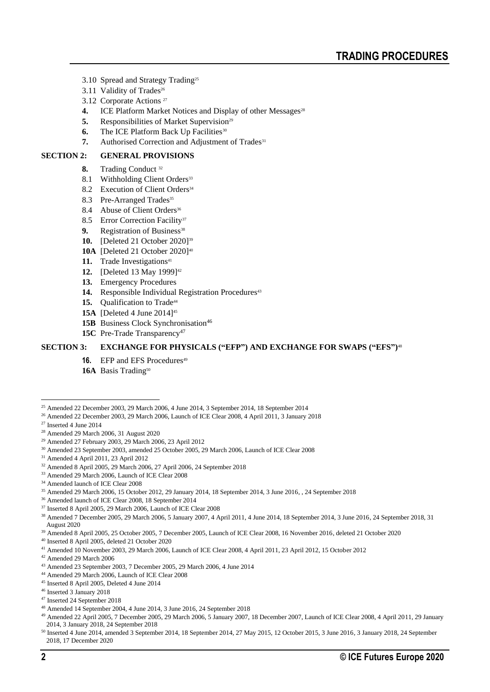- 3.10 Spread and Strategy Trading<sup>25</sup>
- 3.11 Validity of Trades<sup>26</sup>
- 3.12 Corporate Actions <sup>27</sup>
- **4.** ICE Platform Market Notices and Display of other Messages<sup>28</sup>
- **5.** Responsibilities of Market Supervision<sup>29</sup>
- **6.** The ICE Platform Back Up Facilities<sup>30</sup>
- **7.** Authorised Correction and Adjustment of Trades<sup>31</sup>

## **SECTION 2: GENERAL PROVISIONS**

- **8.** Trading Conduct <sup>32</sup>
- 8.1 Withholding Client Orders<sup>33</sup>
- 8.2 Execution of Client Orders<sup>34</sup>
- 8.3 Pre-Arranged Trades<sup>35</sup>
- 8.4 Abuse of Client Orders<sup>36</sup>
- 8.5 Error Correction Facility<sup>37</sup>
- **9.** Registration of Business<sup>38</sup>
- **10.** [Deleted 21 October 2020]<sup>39</sup>
- **10A** [Deleted 21 October 2020]<sup>40</sup>
- 11. Trade Investigations<sup>41</sup>
- **12.** [Deleted 13 May 1999]<sup>42</sup>
- **13.** Emergency Procedures
- 14. Responsible Individual Registration Procedures<sup>43</sup>
- 15. Qualification to Trade<sup>44</sup>
- **15A** [Deleted 4 June 2014]<sup>45</sup>
- **15B** Business Clock Synchronisation<sup>46</sup>
- 15C Pre-Trade Transparency<sup>47</sup>

## **SECTION 3: EXCHANGE FOR PHYSICALS ("EFP") AND EXCHANGE FOR SWAPS ("EFS")** 48

- **16.** EFP and EFS Procedures<sup>49</sup>
- 16A Basis Trading<sup>50</sup>

- <sup>26</sup> Amended 22 December 2003, 29 March 2006, Launch of ICE Clear 2008, 4 April 2011, 3 January 2018
- <sup>27</sup> Inserted 4 June 2014

<sup>33</sup> Amended 29 March 2006, Launch of ICE Clear 2008

<sup>35</sup> Amended 29 March 2006, 15 October 2012, 29 January 2014, 18 September 2014, 3 June 2016, , 24 September 2018

<sup>37</sup> Inserted 8 April 2005, 29 March 2006, Launch of ICE Clear 2008

- <sup>39</sup> Amended 8 April 2005, 25 October 2005, 7 December 2005, Launch of ICE Clear 2008, 16 November 2016, deleted 21 October 2020
- <sup>40</sup> Inserted 8 April 2005, deleted 21 October 2020
- <sup>41</sup> Amended 10 November 2003, 29 March 2006, Launch of ICE Clear 2008, 4 April 2011, 23 April 2012, 15 October 2012
- <sup>42</sup> Amended 29 March 2006
- <sup>43</sup> Amended 23 September 2003, 7 December 2005, 29 March 2006, 4 June 2014
- <sup>44</sup> Amended 29 March 2006, Launch of ICE Clear 2008
- <sup>45</sup> Inserted 8 April 2005, Deleted 4 June 2014

- <sup>48</sup> Amended 14 September 2004, 4 June 2014, 3 June 2016, 24 September 2018
- <sup>49</sup> Amended 22 April 2005, 7 December 2005, 29 March 2006, 5 January 2007, 18 December 2007, Launch of ICE Clear 2008, 4 April 2011, 29 January 2014, 3 January 2018, 24 September 2018
- <sup>50</sup> Inserted 4 June 2014, amended 3 September 2014, 18 September 2014, 27 May 2015, 12 October 2015, 3 June 2016, 3 January 2018, 24 September 2018, 17 December 2020

<sup>&</sup>lt;sup>25</sup> Amended 22 December 2003, 29 March 2006, 4 June 2014, 3 September 2014, 18 September 2014

<sup>28</sup> Amended 29 March 2006, 31 August 2020

<sup>29</sup> Amended 27 February 2003, 29 March 2006, 23 April 2012

<sup>30</sup> Amended 23 September 2003, amended 25 October 2005, 29 March 2006, Launch of ICE Clear 2008

<sup>31</sup> Amended 4 April 2011, 23 April 2012

<sup>32</sup> Amended 8 April 2005, 29 March 2006, 27 April 2006, 24 September 2018

<sup>34</sup> Amended launch of ICE Clear 2008

<sup>36</sup> Amended launch of ICE Clear 2008, 18 September 2014

<sup>38</sup> Amended 7 December 2005, 29 March 2006, 5 January 2007, 4 April 2011, 4 June 2014, 18 September 2014, 3 June 2016, 24 September 2018, 31 August 2020

<sup>46</sup> Inserted 3 January 2018

<sup>47</sup> Inserted 24 September 2018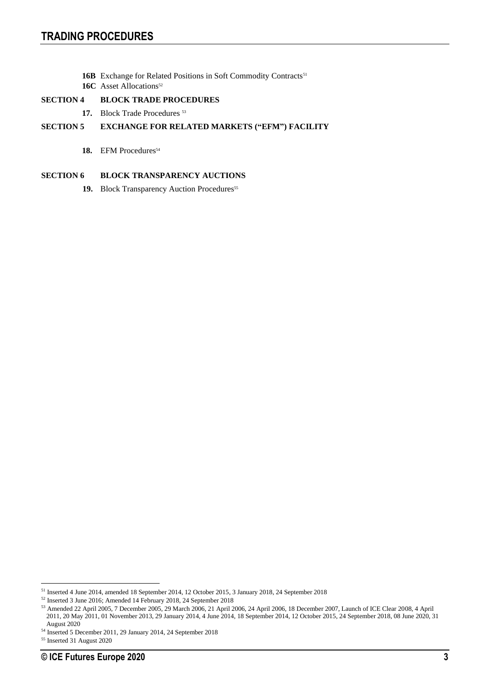- 16B Exchange for Related Positions in Soft Commodity Contracts<sup>51</sup>
- **16C** Asset Allocations<sup>52</sup>

## **SECTION 4 BLOCK TRADE PROCEDURES**

17. Block Trade Procedures<sup>53</sup>

## **SECTION 5 EXCHANGE FOR RELATED MARKETS ("EFM") FACILITY**

18. EFM Procedures<sup>54</sup>

## **SECTION 6 BLOCK TRANSPARENCY AUCTIONS**

19. Block Transparency Auction Procedures<sup>55</sup>

<sup>51</sup> Inserted 4 June 2014, amended 18 September 2014, 12 October 2015, 3 January 2018, 24 September 2018

<sup>52</sup> Inserted 3 June 2016; Amended 14 February 2018, 24 September 2018

<sup>53</sup> Amended 22 April 2005, 7 December 2005, 29 March 2006, 21 April 2006, 24 April 2006, 18 December 2007, Launch of ICE Clear 2008, 4 April 2011, 20 May 2011, 01 November 2013, 29 January 2014, 4 June 2014, 18 September 2014, 12 October 2015, 24 September 2018, 08 June 2020, 31 August 2020

<sup>54</sup> Inserted 5 December 2011, 29 January 2014, 24 September 2018

<sup>55</sup> Inserted 31 August 2020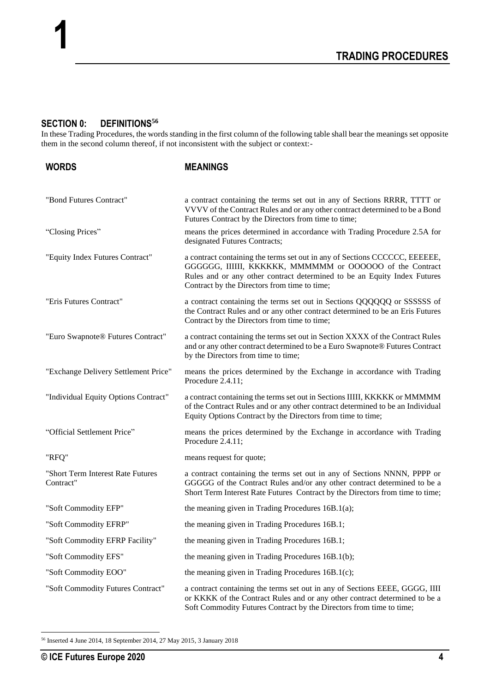# **SECTION 0: DEFINITIONS<sup>56</sup>**

**1**

In these Trading Procedures, the words standing in the first column of the following table shall bear the meanings set opposite them in the second column thereof, if not inconsistent with the subject or context:-

| <b>WORDS</b>                                   | <b>MEANINGS</b>                                                                                                                                                                                                                                                    |
|------------------------------------------------|--------------------------------------------------------------------------------------------------------------------------------------------------------------------------------------------------------------------------------------------------------------------|
| "Bond Futures Contract"                        | a contract containing the terms set out in any of Sections RRRR, TTTT or<br>VVVV of the Contract Rules and or any other contract determined to be a Bond<br>Futures Contract by the Directors from time to time;                                                   |
| "Closing Prices"                               | means the prices determined in accordance with Trading Procedure 2.5A for<br>designated Futures Contracts;                                                                                                                                                         |
| "Equity Index Futures Contract"                | a contract containing the terms set out in any of Sections CCCCCC, EEEEEE,<br>GGGGGG, IIIIII, KKKKKK, MMMMMM or OOOOOO of the Contract<br>Rules and or any other contract determined to be an Equity Index Futures<br>Contract by the Directors from time to time; |
| "Eris Futures Contract"                        | a contract containing the terms set out in Sections QQQQQQ or SSSSSS of<br>the Contract Rules and or any other contract determined to be an Eris Futures<br>Contract by the Directors from time to time;                                                           |
| "Euro Swapnote® Futures Contract"              | a contract containing the terms set out in Section XXXX of the Contract Rules<br>and or any other contract determined to be a Euro Swapnote® Futures Contract<br>by the Directors from time to time;                                                               |
| "Exchange Delivery Settlement Price"           | means the prices determined by the Exchange in accordance with Trading<br>Procedure 2.4.11;                                                                                                                                                                        |
| "Individual Equity Options Contract"           | a contract containing the terms set out in Sections IIIII, KKKKK or MMMMM<br>of the Contract Rules and or any other contract determined to be an Individual<br>Equity Options Contract by the Directors from time to time;                                         |
| "Official Settlement Price"                    | means the prices determined by the Exchange in accordance with Trading<br>Procedure 2.4.11;                                                                                                                                                                        |
| "RFQ"                                          | means request for quote;                                                                                                                                                                                                                                           |
| "Short Term Interest Rate Futures<br>Contract" | a contract containing the terms set out in any of Sections NNNN, PPPP or<br>GGGGG of the Contract Rules and/or any other contract determined to be a<br>Short Term Interest Rate Futures Contract by the Directors from time to time;                              |
| "Soft Commodity EFP"                           | the meaning given in Trading Procedures $16B.1(a)$ ;                                                                                                                                                                                                               |
| "Soft Commodity EFRP"                          | the meaning given in Trading Procedures 16B.1;                                                                                                                                                                                                                     |
| "Soft Commodity EFRP Facility"                 | the meaning given in Trading Procedures 16B.1;                                                                                                                                                                                                                     |
| "Soft Commodity EFS"                           | the meaning given in Trading Procedures 16B.1(b);                                                                                                                                                                                                                  |
| "Soft Commodity EOO"                           | the meaning given in Trading Procedures $16B.1(c)$ ;                                                                                                                                                                                                               |
| "Soft Commodity Futures Contract"              | a contract containing the terms set out in any of Sections EEEE, GGGG, IIII<br>or KKKK of the Contract Rules and or any other contract determined to be a<br>Soft Commodity Futures Contract by the Directors from time to time;                                   |

<sup>56</sup> Inserted 4 June 2014, 18 September 2014, 27 May 2015, 3 January 2018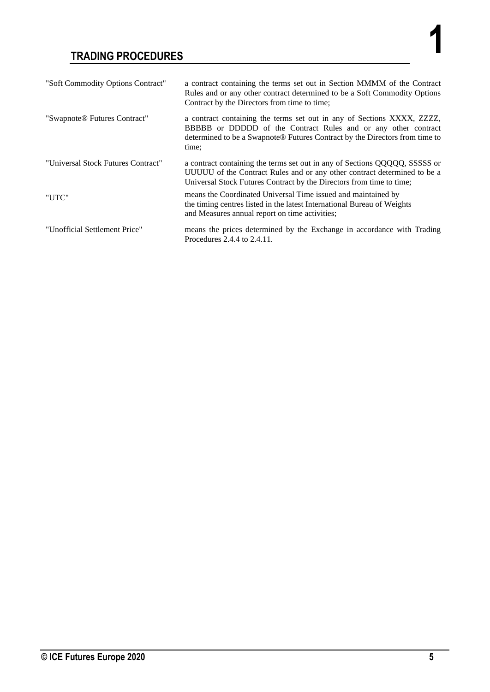| "Soft Commodity Options Contract"  | a contract containing the terms set out in Section MMMM of the Contract<br>Rules and or any other contract determined to be a Soft Commodity Options<br>Contract by the Directors from time to time;                             |
|------------------------------------|----------------------------------------------------------------------------------------------------------------------------------------------------------------------------------------------------------------------------------|
| "Swapnote® Futures Contract"       | a contract containing the terms set out in any of Sections XXXX, ZZZZ,<br>BBBBB or DDDDD of the Contract Rules and or any other contract<br>determined to be a Swapnote® Futures Contract by the Directors from time to<br>time: |
| "Universal Stock Futures Contract" | a contract containing the terms set out in any of Sections QQQQQ, SSSSS or<br>UUUUU of the Contract Rules and or any other contract determined to be a<br>Universal Stock Futures Contract by the Directors from time to time;   |
| "UTC"                              | means the Coordinated Universal Time issued and maintained by<br>the timing centres listed in the latest International Bureau of Weights<br>and Measures annual report on time activities;                                       |
| "Unofficial Settlement Price"      | means the prices determined by the Exchange in accordance with Trading<br>Procedures 2.4.4 to 2.4.11.                                                                                                                            |

**1**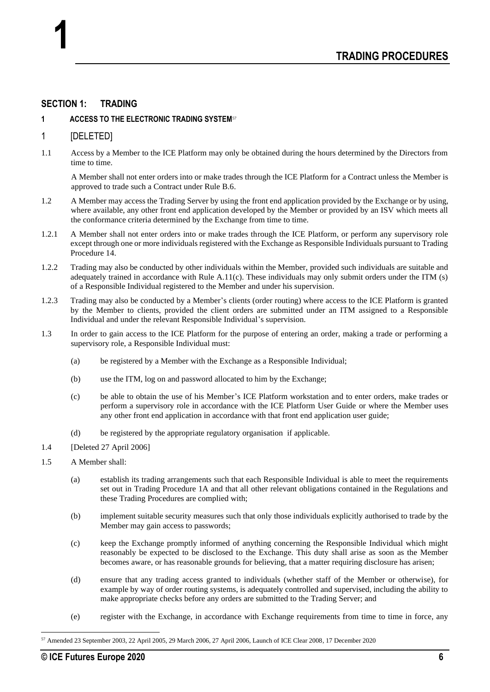## **SECTION 1: TRADING**

## **1 ACCESS TO THE ELECTRONIC TRADING SYSTEM**<sup>57</sup>

## 1 [DELETED]

**1**

1.1 Access by a Member to the ICE Platform may only be obtained during the hours determined by the Directors from time to time.

A Member shall not enter orders into or make trades through the ICE Platform for a Contract unless the Member is approved to trade such a Contract under Rule B.6.

- 1.2 A Member may access the Trading Server by using the front end application provided by the Exchange or by using, where available, any other front end application developed by the Member or provided by an ISV which meets all the conformance criteria determined by the Exchange from time to time.
- 1.2.1 A Member shall not enter orders into or make trades through the ICE Platform, or perform any supervisory role except through one or more individuals registered with the Exchange as Responsible Individuals pursuant to Trading Procedure 14.
- 1.2.2 Trading may also be conducted by other individuals within the Member, provided such individuals are suitable and adequately trained in accordance with Rule A.11(c). These individuals may only submit orders under the ITM (s) of a Responsible Individual registered to the Member and under his supervision.
- 1.2.3 Trading may also be conducted by a Member's clients (order routing) where access to the ICE Platform is granted by the Member to clients, provided the client orders are submitted under an ITM assigned to a Responsible Individual and under the relevant Responsible Individual's supervision.
- 1.3 In order to gain access to the ICE Platform for the purpose of entering an order, making a trade or performing a supervisory role, a Responsible Individual must:
	- (a) be registered by a Member with the Exchange as a Responsible Individual;
	- (b) use the ITM, log on and password allocated to him by the Exchange;
	- (c) be able to obtain the use of his Member's ICE Platform workstation and to enter orders, make trades or perform a supervisory role in accordance with the ICE Platform User Guide or where the Member uses any other front end application in accordance with that front end application user guide;
	- (d) be registered by the appropriate regulatory organisation if applicable.
- 1.4 [Deleted 27 April 2006]
- 1.5 A Member shall:
	- (a) establish its trading arrangements such that each Responsible Individual is able to meet the requirements set out in Trading Procedure 1A and that all other relevant obligations contained in the Regulations and these Trading Procedures are complied with;
	- (b) implement suitable security measures such that only those individuals explicitly authorised to trade by the Member may gain access to passwords;
	- (c) keep the Exchange promptly informed of anything concerning the Responsible Individual which might reasonably be expected to be disclosed to the Exchange. This duty shall arise as soon as the Member becomes aware, or has reasonable grounds for believing, that a matter requiring disclosure has arisen;
	- (d) ensure that any trading access granted to individuals (whether staff of the Member or otherwise), for example by way of order routing systems, is adequately controlled and supervised, including the ability to make appropriate checks before any orders are submitted to the Trading Server; and
	- (e) register with the Exchange, in accordance with Exchange requirements from time to time in force, any

<sup>57</sup> Amended 23 September 2003, 22 April 2005, 29 March 2006, 27 April 2006, Launch of ICE Clear 2008, 17 December 2020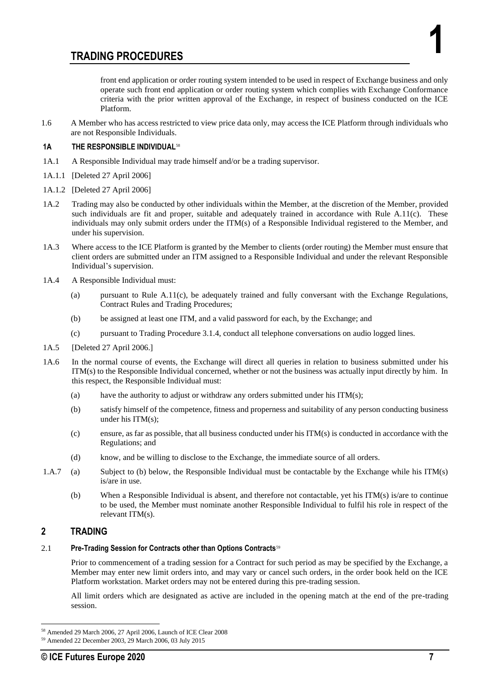front end application or order routing system intended to be used in respect of Exchange business and only operate such front end application or order routing system which complies with Exchange Conformance criteria with the prior written approval of the Exchange, in respect of business conducted on the ICE Platform.

1.6 A Member who has access restricted to view price data only, may access the ICE Platform through individuals who are not Responsible Individuals.

## **1A THE RESPONSIBLE INDIVIDUAL**<sup>58</sup>

- 1A.1 A Responsible Individual may trade himself and/or be a trading supervisor.
- 1A.1.1 [Deleted 27 April 2006]
- 1A.1.2 [Deleted 27 April 2006]
- 1A.2 Trading may also be conducted by other individuals within the Member, at the discretion of the Member, provided such individuals are fit and proper, suitable and adequately trained in accordance with Rule A.11(c). These individuals may only submit orders under the ITM(s) of a Responsible Individual registered to the Member, and under his supervision.
- 1A.3 Where access to the ICE Platform is granted by the Member to clients (order routing) the Member must ensure that client orders are submitted under an ITM assigned to a Responsible Individual and under the relevant Responsible Individual's supervision.
- 1A.4 A Responsible Individual must:
	- (a) pursuant to Rule A.11(c), be adequately trained and fully conversant with the Exchange Regulations, Contract Rules and Trading Procedures;
	- (b) be assigned at least one ITM, and a valid password for each, by the Exchange; and
	- (c) pursuant to Trading Procedure 3.1.4, conduct all telephone conversations on audio logged lines.
- 1A.5 [Deleted 27 April 2006.]
- 1A.6 In the normal course of events, the Exchange will direct all queries in relation to business submitted under his ITM(s) to the Responsible Individual concerned, whether or not the business was actually input directly by him. In this respect, the Responsible Individual must:
	- (a) have the authority to adjust or withdraw any orders submitted under his ITM(s);
	- (b) satisfy himself of the competence, fitness and properness and suitability of any person conducting business under his ITM(s);
	- (c) ensure, as far as possible, that all business conducted under his ITM(s) is conducted in accordance with the Regulations; and
	- (d) know, and be willing to disclose to the Exchange, the immediate source of all orders.
- 1.A.7 (a) Subject to (b) below, the Responsible Individual must be contactable by the Exchange while his ITM(s) is/are in use.
	- (b) When a Responsible Individual is absent, and therefore not contactable, yet his ITM(s) is/are to continue to be used, the Member must nominate another Responsible Individual to fulfil his role in respect of the relevant ITM(s).

## **2 TRADING**

## 2.1 **Pre-Trading Session for Contracts other than Options Contracts**<sup>59</sup>

Prior to commencement of a trading session for a Contract for such period as may be specified by the Exchange, a Member may enter new limit orders into, and may vary or cancel such orders, in the order book held on the ICE Platform workstation. Market orders may not be entered during this pre-trading session.

All limit orders which are designated as active are included in the opening match at the end of the pre-trading session.

**1**

<sup>58</sup> Amended 29 March 2006, 27 April 2006, Launch of ICE Clear 2008

<sup>59</sup> Amended 22 December 2003, 29 March 2006, 03 July 2015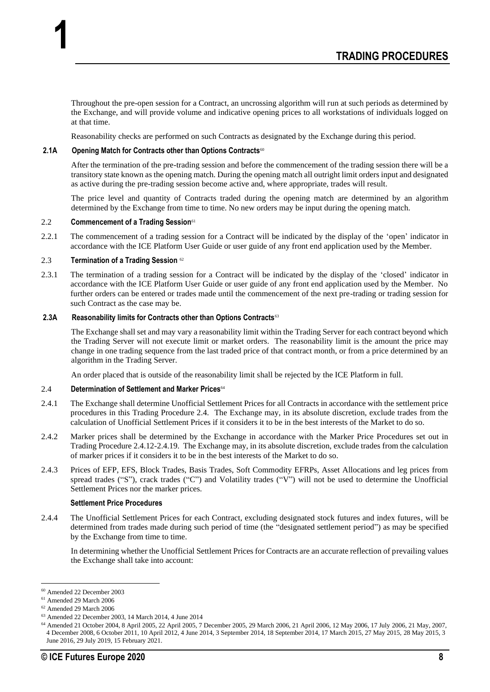Throughout the pre-open session for a Contract, an uncrossing algorithm will run at such periods as determined by the Exchange, and will provide volume and indicative opening prices to all workstations of individuals logged on at that time.

Reasonability checks are performed on such Contracts as designated by the Exchange during this period.

## **2.1A Opening Match for Contracts other than Options Contracts**<sup>60</sup>

After the termination of the pre-trading session and before the commencement of the trading session there will be a transitory state known as the opening match. During the opening match all outright limit orders input and designated as active during the pre-trading session become active and, where appropriate, trades will result.

The price level and quantity of Contracts traded during the opening match are determined by an algorithm determined by the Exchange from time to time. No new orders may be input during the opening match.

## 2.2 **Commencement of a Trading Session**<sup>61</sup>

**1**

2.2.1 The commencement of a trading session for a Contract will be indicated by the display of the 'open' indicator in accordance with the ICE Platform User Guide or user guide of any front end application used by the Member.

#### 2.3 **Termination of a Trading Session** <sup>62</sup>

2.3.1 The termination of a trading session for a Contract will be indicated by the display of the 'closed' indicator in accordance with the ICE Platform User Guide or user guide of any front end application used by the Member. No further orders can be entered or trades made until the commencement of the next pre-trading or trading session for such Contract as the case may be.

#### **2.3A Reasonability limits for Contracts other than Options Contracts**<sup>63</sup>

The Exchange shall set and may vary a reasonability limit within the Trading Server for each contract beyond which the Trading Server will not execute limit or market orders. The reasonability limit is the amount the price may change in one trading sequence from the last traded price of that contract month, or from a price determined by an algorithm in the Trading Server.

An order placed that is outside of the reasonability limit shall be rejected by the ICE Platform in full.

#### 2.4 **Determination of Settlement and Marker Prices**<sup>64</sup>

- 2.4.1 The Exchange shall determine Unofficial Settlement Prices for all Contracts in accordance with the settlement price procedures in this Trading Procedure 2.4. The Exchange may, in its absolute discretion, exclude trades from the calculation of Unofficial Settlement Prices if it considers it to be in the best interests of the Market to do so.
- 2.4.2 Marker prices shall be determined by the Exchange in accordance with the Marker Price Procedures set out in Trading Procedure 2.4.12-2.4.19. The Exchange may, in its absolute discretion, exclude trades from the calculation of marker prices if it considers it to be in the best interests of the Market to do so.
- 2.4.3 Prices of EFP, EFS, Block Trades, Basis Trades, Soft Commodity EFRPs, Asset Allocations and leg prices from spread trades ("S"), crack trades ("C") and Volatility trades ("V") will not be used to determine the Unofficial Settlement Prices nor the marker prices.

## **Settlement Price Procedures**

2.4.4 The Unofficial Settlement Prices for each Contract, excluding designated stock futures and index futures, will be determined from trades made during such period of time (the "designated settlement period") as may be specified by the Exchange from time to time.

In determining whether the Unofficial Settlement Prices for Contracts are an accurate reflection of prevailing values the Exchange shall take into account:

<sup>60</sup> Amended 22 December 2003

<sup>61</sup> Amended 29 March 2006

<sup>62</sup> Amended 29 March 2006

<sup>63</sup> Amended 22 December 2003, 14 March 2014, 4 June 2014

<sup>64</sup> Amended 21 October 2004, 8 April 2005, 22 April 2005, 7 December 2005, 29 March 2006, 21 April 2006, 12 May 2006, 17 July 2006, 21 May, 2007, 4 December 2008, 6 October 2011, 10 April 2012, 4 June 2014, 3 September 2014, 18 September 2014, 17 March 2015, 27 May 2015, 28 May 2015, 3 June 2016, 29 July 2019, 15 February 2021.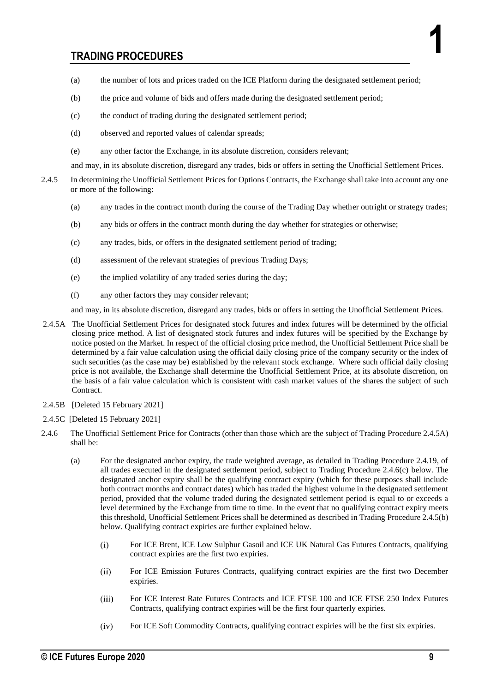- (a) the number of lots and prices traded on the ICE Platform during the designated settlement period;
- (b) the price and volume of bids and offers made during the designated settlement period;
- (c) the conduct of trading during the designated settlement period;
- (d) observed and reported values of calendar spreads;
- (e) any other factor the Exchange, in its absolute discretion, considers relevant;

and may, in its absolute discretion, disregard any trades, bids or offers in setting the Unofficial Settlement Prices.

- 2.4.5 In determining the Unofficial Settlement Prices for Options Contracts, the Exchange shall take into account any one or more of the following:
	- (a) any trades in the contract month during the course of the Trading Day whether outright or strategy trades;
	- (b) any bids or offers in the contract month during the day whether for strategies or otherwise;
	- (c) any trades, bids, or offers in the designated settlement period of trading;
	- (d) assessment of the relevant strategies of previous Trading Days;
	- (e) the implied volatility of any traded series during the day;
	- (f) any other factors they may consider relevant;

and may, in its absolute discretion, disregard any trades, bids or offers in setting the Unofficial Settlement Prices.

- 2.4.5A The Unofficial Settlement Prices for designated stock futures and index futures will be determined by the official closing price method. A list of designated stock futures and index futures will be specified by the Exchange by notice posted on the Market. In respect of the official closing price method, the Unofficial Settlement Price shall be determined by a fair value calculation using the official daily closing price of the company security or the index of such securities (as the case may be) established by the relevant stock exchange. Where such official daily closing price is not available, the Exchange shall determine the Unofficial Settlement Price, at its absolute discretion, on the basis of a fair value calculation which is consistent with cash market values of the shares the subject of such Contract.
- 2.4.5B [Deleted 15 February 2021]
- 2.4.5C [Deleted 15 February 2021]
- 2.4.6 The Unofficial Settlement Price for Contracts (other than those which are the subject of Trading Procedure 2.4.5A) shall be:
	- (a) For the designated anchor expiry, the trade weighted average, as detailed in Trading Procedure 2.4.19, of all trades executed in the designated settlement period, subject to Trading Procedure 2.4.6(c) below. The designated anchor expiry shall be the qualifying contract expiry (which for these purposes shall include both contract months and contract dates) which has traded the highest volume in the designated settlement period, provided that the volume traded during the designated settlement period is equal to or exceeds a level determined by the Exchange from time to time. In the event that no qualifying contract expiry meets this threshold, Unofficial Settlement Prices shall be determined as described in Trading Procedure 2.4.5(b) below. Qualifying contract expiries are further explained below.
		- For ICE Brent, ICE Low Sulphur Gasoil and ICE UK Natural Gas Futures Contracts, qualifying  $(i)$ contract expiries are the first two expiries.
		- $(ii)$ For ICE Emission Futures Contracts, qualifying contract expiries are the first two December expiries.
		- For ICE Interest Rate Futures Contracts and ICE FTSE 100 and ICE FTSE 250 Index Futures  $(iii)$ Contracts, qualifying contract expiries will be the first four quarterly expiries.
		- $(iv)$ For ICE Soft Commodity Contracts, qualifying contract expiries will be the first six expiries.

**1**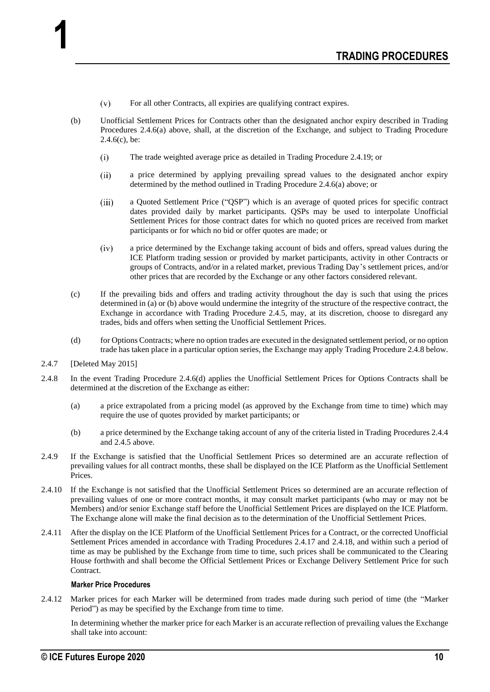- $(v)$ For all other Contracts, all expiries are qualifying contract expires.
- (b) Unofficial Settlement Prices for Contracts other than the designated anchor expiry described in Trading Procedures 2.4.6(a) above, shall, at the discretion of the Exchange, and subject to Trading Procedure  $2.4.6(c)$ , be:
	- $(i)$ The trade weighted average price as detailed in Trading Procedure 2.4.19; or
	- $(ii)$ a price determined by applying prevailing spread values to the designated anchor expiry determined by the method outlined in Trading Procedure 2.4.6(a) above; or
	- a Quoted Settlement Price ("QSP") which is an average of quoted prices for specific contract  $(iii)$ dates provided daily by market participants. QSPs may be used to interpolate Unofficial Settlement Prices for those contract dates for which no quoted prices are received from market participants or for which no bid or offer quotes are made; or
	- a price determined by the Exchange taking account of bids and offers, spread values during the  $(iv)$ ICE Platform trading session or provided by market participants, activity in other Contracts or groups of Contracts, and/or in a related market, previous Trading Day's settlement prices, and/or other prices that are recorded by the Exchange or any other factors considered relevant.
- (c) If the prevailing bids and offers and trading activity throughout the day is such that using the prices determined in (a) or (b) above would undermine the integrity of the structure of the respective contract, the Exchange in accordance with Trading Procedure 2.4.5, may, at its discretion, choose to disregard any trades, bids and offers when setting the Unofficial Settlement Prices.
- (d) for Options Contracts; where no option trades are executed in the designated settlement period, or no option trade has taken place in a particular option series, the Exchange may apply Trading Procedure 2.4.8 below.
- 2.4.7 [Deleted May 2015]

**1**

- 2.4.8 In the event Trading Procedure 2.4.6(d) applies the Unofficial Settlement Prices for Options Contracts shall be determined at the discretion of the Exchange as either:
	- (a) a price extrapolated from a pricing model (as approved by the Exchange from time to time) which may require the use of quotes provided by market participants; or
	- (b) a price determined by the Exchange taking account of any of the criteria listed in Trading Procedures 2.4.4 and 2.4.5 above.
- 2.4.9 If the Exchange is satisfied that the Unofficial Settlement Prices so determined are an accurate reflection of prevailing values for all contract months, these shall be displayed on the ICE Platform as the Unofficial Settlement Prices.
- 2.4.10 If the Exchange is not satisfied that the Unofficial Settlement Prices so determined are an accurate reflection of prevailing values of one or more contract months, it may consult market participants (who may or may not be Members) and/or senior Exchange staff before the Unofficial Settlement Prices are displayed on the ICE Platform. The Exchange alone will make the final decision as to the determination of the Unofficial Settlement Prices.
- 2.4.11 After the display on the ICE Platform of the Unofficial Settlement Prices for a Contract, or the corrected Unofficial Settlement Prices amended in accordance with Trading Procedures 2.4.17 and 2.4.18, and within such a period of time as may be published by the Exchange from time to time, such prices shall be communicated to the Clearing House forthwith and shall become the Official Settlement Prices or Exchange Delivery Settlement Price for such Contract.

## **Marker Price Procedures**

2.4.12 Marker prices for each Marker will be determined from trades made during such period of time (the "Marker Period") as may be specified by the Exchange from time to time.

In determining whether the marker price for each Marker is an accurate reflection of prevailing values the Exchange shall take into account: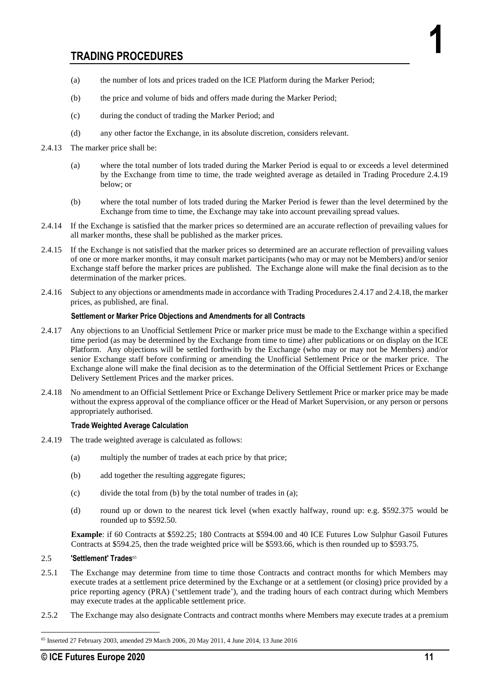- (a) the number of lots and prices traded on the ICE Platform during the Marker Period;
- (b) the price and volume of bids and offers made during the Marker Period;
- (c) during the conduct of trading the Marker Period; and
- (d) any other factor the Exchange, in its absolute discretion, considers relevant.
- 2.4.13 The marker price shall be:
	- (a) where the total number of lots traded during the Marker Period is equal to or exceeds a level determined by the Exchange from time to time, the trade weighted average as detailed in Trading Procedure 2.4.19 below; or
	- (b) where the total number of lots traded during the Marker Period is fewer than the level determined by the Exchange from time to time, the Exchange may take into account prevailing spread values.
- 2.4.14 If the Exchange is satisfied that the marker prices so determined are an accurate reflection of prevailing values for all marker months, these shall be published as the marker prices.
- 2.4.15 If the Exchange is not satisfied that the marker prices so determined are an accurate reflection of prevailing values of one or more marker months, it may consult market participants (who may or may not be Members) and/or senior Exchange staff before the marker prices are published. The Exchange alone will make the final decision as to the determination of the marker prices.
- 2.4.16 Subject to any objections or amendments made in accordance with Trading Procedures 2.4.17 and 2.4.18, the marker prices, as published, are final.

## **Settlement or Marker Price Objections and Amendments for all Contracts**

- 2.4.17 Any objections to an Unofficial Settlement Price or marker price must be made to the Exchange within a specified time period (as may be determined by the Exchange from time to time) after publications or on display on the ICE Platform. Any objections will be settled forthwith by the Exchange (who may or may not be Members) and/or senior Exchange staff before confirming or amending the Unofficial Settlement Price or the marker price. The Exchange alone will make the final decision as to the determination of the Official Settlement Prices or Exchange Delivery Settlement Prices and the marker prices.
- 2.4.18 No amendment to an Official Settlement Price or Exchange Delivery Settlement Price or marker price may be made without the express approval of the compliance officer or the Head of Market Supervision, or any person or persons appropriately authorised.

## **Trade Weighted Average Calculation**

- 2.4.19 The trade weighted average is calculated as follows:
	- (a) multiply the number of trades at each price by that price;
	- (b) add together the resulting aggregate figures;
	- (c) divide the total from (b) by the total number of trades in (a);
	- (d) round up or down to the nearest tick level (when exactly halfway, round up: e.g. \$592.375 would be rounded up to \$592.50.

**Example**: if 60 Contracts at \$592.25; 180 Contracts at \$594.00 and 40 ICE Futures Low Sulphur Gasoil Futures Contracts at \$594.25, then the trade weighted price will be \$593.66, which is then rounded up to \$593.75.

## 2.5 **'Settlement' Trades**<sup>65</sup>

- 2.5.1 The Exchange may determine from time to time those Contracts and contract months for which Members may execute trades at a settlement price determined by the Exchange or at a settlement (or closing) price provided by a price reporting agency (PRA) ('settlement trade'), and the trading hours of each contract during which Members may execute trades at the applicable settlement price.
- 2.5.2 The Exchange may also designate Contracts and contract months where Members may execute trades at a premium

**1**

<sup>65</sup> Inserted 27 February 2003, amended 29 March 2006, 20 May 2011, 4 June 2014, 13 June 2016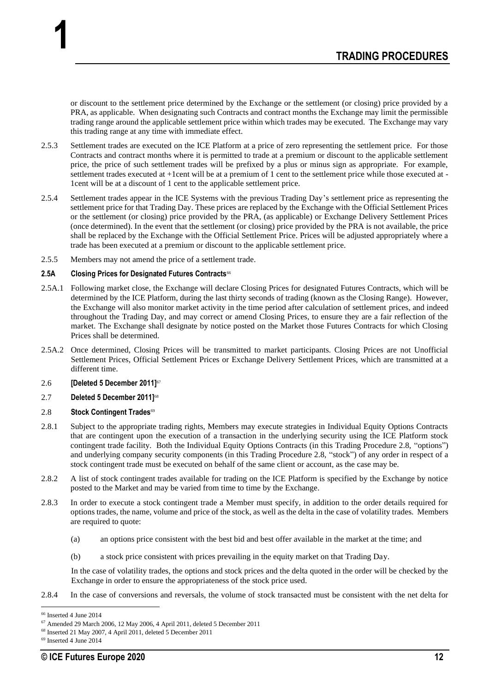or discount to the settlement price determined by the Exchange or the settlement (or closing) price provided by a PRA, as applicable. When designating such Contracts and contract months the Exchange may limit the permissible trading range around the applicable settlement price within which trades may be executed. The Exchange may vary this trading range at any time with immediate effect.

- 2.5.3 Settlement trades are executed on the ICE Platform at a price of zero representing the settlement price. For those Contracts and contract months where it is permitted to trade at a premium or discount to the applicable settlement price, the price of such settlement trades will be prefixed by a plus or minus sign as appropriate. For example, settlement trades executed at +1cent will be at a premium of 1 cent to the settlement price while those executed at - 1cent will be at a discount of 1 cent to the applicable settlement price.
- 2.5.4 Settlement trades appear in the ICE Systems with the previous Trading Day's settlement price as representing the settlement price for that Trading Day. These prices are replaced by the Exchange with the Official Settlement Prices or the settlement (or closing) price provided by the PRA, (as applicable) or Exchange Delivery Settlement Prices (once determined). In the event that the settlement (or closing) price provided by the PRA is not available, the price shall be replaced by the Exchange with the Official Settlement Price. Prices will be adjusted appropriately where a trade has been executed at a premium or discount to the applicable settlement price.
- 2.5.5 Members may not amend the price of a settlement trade.

## 2.5A Closing Prices for Designated Futures Contracts<sup>66</sup>

- 2.5A.1 Following market close, the Exchange will declare Closing Prices for designated Futures Contracts, which will be determined by the ICE Platform, during the last thirty seconds of trading (known as the Closing Range). However, the Exchange will also monitor market activity in the time period after calculation of settlement prices, and indeed throughout the Trading Day, and may correct or amend Closing Prices, to ensure they are a fair reflection of the market. The Exchange shall designate by notice posted on the Market those Futures Contracts for which Closing Prices shall be determined.
- 2.5A.2 Once determined, Closing Prices will be transmitted to market participants. Closing Prices are not Unofficial Settlement Prices, Official Settlement Prices or Exchange Delivery Settlement Prices, which are transmitted at a different time.

## 2.6 **[Deleted 5 December 2011]**<sup>67</sup>

**1**

## 2.7 **Deleted 5 December 2011]**<sup>68</sup>

## 2.8 **Stock Contingent Trades**<sup>69</sup>

- 2.8.1 Subject to the appropriate trading rights, Members may execute strategies in Individual Equity Options Contracts that are contingent upon the execution of a transaction in the underlying security using the ICE Platform stock contingent trade facility. Both the Individual Equity Options Contracts (in this Trading Procedure 2.8, "options") and underlying company security components (in this Trading Procedure 2.8, "stock") of any order in respect of a stock contingent trade must be executed on behalf of the same client or account, as the case may be.
- 2.8.2 A list of stock contingent trades available for trading on the ICE Platform is specified by the Exchange by notice posted to the Market and may be varied from time to time by the Exchange.
- 2.8.3 In order to execute a stock contingent trade a Member must specify, in addition to the order details required for options trades, the name, volume and price of the stock, as well as the delta in the case of volatility trades. Members are required to quote:
	- (a) an options price consistent with the best bid and best offer available in the market at the time; and
	- (b) a stock price consistent with prices prevailing in the equity market on that Trading Day.

In the case of volatility trades, the options and stock prices and the delta quoted in the order will be checked by the Exchange in order to ensure the appropriateness of the stock price used.

2.8.4 In the case of conversions and reversals, the volume of stock transacted must be consistent with the net delta for

<sup>66</sup> Inserted 4 June 2014

<sup>67</sup> Amended 29 March 2006, 12 May 2006, 4 April 2011, deleted 5 December 2011

<sup>68</sup> Inserted 21 May 2007, 4 April 2011, deleted 5 December 2011

<sup>69</sup> Inserted 4 June 2014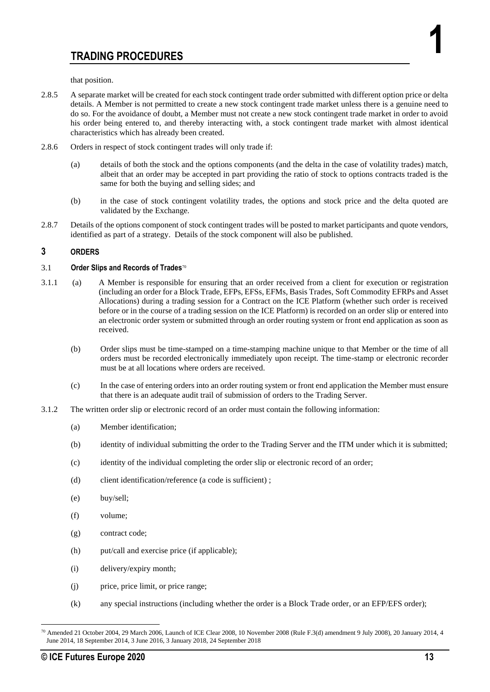that position.

- 2.8.5 A separate market will be created for each stock contingent trade order submitted with different option price or delta details. A Member is not permitted to create a new stock contingent trade market unless there is a genuine need to do so. For the avoidance of doubt, a Member must not create a new stock contingent trade market in order to avoid his order being entered to, and thereby interacting with, a stock contingent trade market with almost identical characteristics which has already been created.
- 2.8.6 Orders in respect of stock contingent trades will only trade if:
	- (a) details of both the stock and the options components (and the delta in the case of volatility trades) match, albeit that an order may be accepted in part providing the ratio of stock to options contracts traded is the same for both the buying and selling sides; and
	- (b) in the case of stock contingent volatility trades, the options and stock price and the delta quoted are validated by the Exchange.
- 2.8.7 Details of the options component of stock contingent trades will be posted to market participants and quote vendors, identified as part of a strategy. Details of the stock component will also be published.

## **3 ORDERS**

## 3.1 **Order Slips and Records of Trades**<sup>70</sup>

- 3.1.1 (a) A Member is responsible for ensuring that an order received from a client for execution or registration (including an order for a Block Trade, EFPs, EFSs, EFMs, Basis Trades, Soft Commodity EFRPs and Asset Allocations) during a trading session for a Contract on the ICE Platform (whether such order is received before or in the course of a trading session on the ICE Platform) is recorded on an order slip or entered into an electronic order system or submitted through an order routing system or front end application as soon as received.
	- (b) Order slips must be time-stamped on a time-stamping machine unique to that Member or the time of all orders must be recorded electronically immediately upon receipt. The time-stamp or electronic recorder must be at all locations where orders are received.
	- (c) In the case of entering orders into an order routing system or front end application the Member must ensure that there is an adequate audit trail of submission of orders to the Trading Server.
- 3.1.2 The written order slip or electronic record of an order must contain the following information:
	- (a) Member identification;
	- (b) identity of individual submitting the order to the Trading Server and the ITM under which it is submitted;
	- (c) identity of the individual completing the order slip or electronic record of an order;
	- (d) client identification/reference (a code is sufficient) ;
	- (e) buy/sell;
	- (f) volume;
	- (g) contract code;
	- (h) put/call and exercise price (if applicable);
	- (i) delivery/expiry month;
	- (j) price, price limit, or price range;
	- (k) any special instructions (including whether the order is a Block Trade order, or an EFP/EFS order);

**1**

<sup>70</sup> Amended 21 October 2004, 29 March 2006, Launch of ICE Clear 2008, 10 November 2008 (Rule F.3(d) amendment 9 July 2008), 20 January 2014, 4 June 2014, 18 September 2014, 3 June 2016, 3 January 2018, 24 September 2018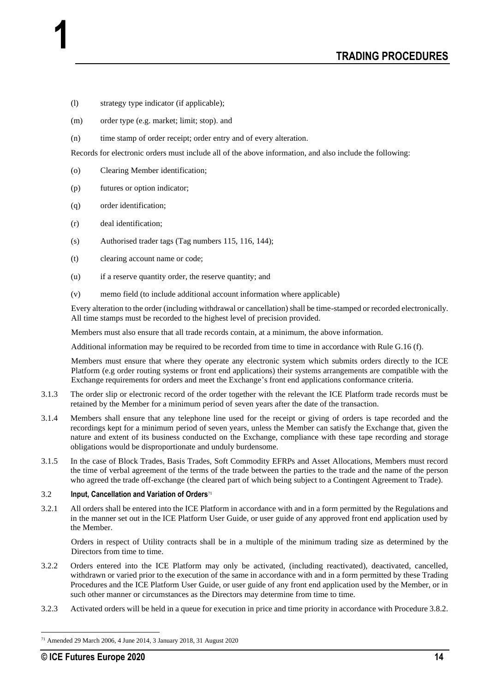- (l) strategy type indicator (if applicable);
- (m) order type (e.g. market; limit; stop). and
- (n) time stamp of order receipt; order entry and of every alteration.

Records for electronic orders must include all of the above information, and also include the following:

- (o) Clearing Member identification;
- (p) futures or option indicator;
- (q) order identification;

**1**

- (r) deal identification;
- (s) Authorised trader tags (Tag numbers 115, 116, 144);
- (t) clearing account name or code;
- (u) if a reserve quantity order, the reserve quantity; and
- (v) memo field (to include additional account information where applicable)

Every alteration to the order (including withdrawal or cancellation) shall be time-stamped or recorded electronically. All time stamps must be recorded to the highest level of precision provided.

Members must also ensure that all trade records contain, at a minimum, the above information.

Additional information may be required to be recorded from time to time in accordance with Rule G.16 (f).

Members must ensure that where they operate any electronic system which submits orders directly to the ICE Platform (e.g order routing systems or front end applications) their systems arrangements are compatible with the Exchange requirements for orders and meet the Exchange's front end applications conformance criteria.

- 3.1.3 The order slip or electronic record of the order together with the relevant the ICE Platform trade records must be retained by the Member for a minimum period of seven years after the date of the transaction.
- 3.1.4 Members shall ensure that any telephone line used for the receipt or giving of orders is tape recorded and the recordings kept for a minimum period of seven years, unless the Member can satisfy the Exchange that, given the nature and extent of its business conducted on the Exchange, compliance with these tape recording and storage obligations would be disproportionate and unduly burdensome.
- 3.1.5 In the case of Block Trades, Basis Trades, Soft Commodity EFRPs and Asset Allocations, Members must record the time of verbal agreement of the terms of the trade between the parties to the trade and the name of the person who agreed the trade off-exchange (the cleared part of which being subject to a Contingent Agreement to Trade).

## 3.2 **Input, Cancellation and Variation of Orders**<sup>71</sup>

3.2.1 All orders shall be entered into the ICE Platform in accordance with and in a form permitted by the Regulations and in the manner set out in the ICE Platform User Guide, or user guide of any approved front end application used by the Member.

Orders in respect of Utility contracts shall be in a multiple of the minimum trading size as determined by the Directors from time to time.

- 3.2.2 Orders entered into the ICE Platform may only be activated, (including reactivated), deactivated, cancelled, withdrawn or varied prior to the execution of the same in accordance with and in a form permitted by these Trading Procedures and the ICE Platform User Guide, or user guide of any front end application used by the Member, or in such other manner or circumstances as the Directors may determine from time to time.
- 3.2.3 Activated orders will be held in a queue for execution in price and time priority in accordance with Procedure 3.8.2.

<sup>71</sup> Amended 29 March 2006, 4 June 2014, 3 January 2018, 31 August 2020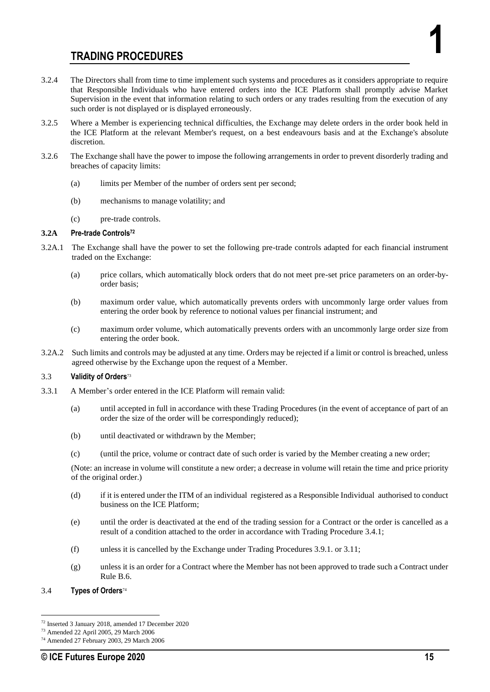- 3.2.4 The Directors shall from time to time implement such systems and procedures as it considers appropriate to require that Responsible Individuals who have entered orders into the ICE Platform shall promptly advise Market Supervision in the event that information relating to such orders or any trades resulting from the execution of any such order is not displayed or is displayed erroneously.
- 3.2.5 Where a Member is experiencing technical difficulties, the Exchange may delete orders in the order book held in the ICE Platform at the relevant Member's request, on a best endeavours basis and at the Exchange's absolute discretion.
- 3.2.6 The Exchange shall have the power to impose the following arrangements in order to prevent disorderly trading and breaches of capacity limits:
	- (a) limits per Member of the number of orders sent per second;
	- (b) mechanisms to manage volatility; and
	- (c) pre-trade controls.

## **3.2A Pre-trade Controls<sup>72</sup>**

- 3.2A.1 The Exchange shall have the power to set the following pre-trade controls adapted for each financial instrument traded on the Exchange:
	- (a) price collars, which automatically block orders that do not meet pre-set price parameters on an order-byorder basis;
	- (b) maximum order value, which automatically prevents orders with uncommonly large order values from entering the order book by reference to notional values per financial instrument; and
	- (c) maximum order volume, which automatically prevents orders with an uncommonly large order size from entering the order book.
- 3.2A.2 Such limits and controls may be adjusted at any time. Orders may be rejected if a limit or control is breached, unless agreed otherwise by the Exchange upon the request of a Member.

## 3.3 **Validity of Orders**<sup>73</sup>

- 3.3.1 A Member's order entered in the ICE Platform will remain valid:
	- (a) until accepted in full in accordance with these Trading Procedures (in the event of acceptance of part of an order the size of the order will be correspondingly reduced);
	- (b) until deactivated or withdrawn by the Member;
	- (c) (until the price, volume or contract date of such order is varied by the Member creating a new order;

(Note: an increase in volume will constitute a new order; a decrease in volume will retain the time and price priority of the original order.)

- (d) if it is entered under the ITM of an individual registered as a Responsible Individual authorised to conduct business on the ICE Platform;
- (e) until the order is deactivated at the end of the trading session for a Contract or the order is cancelled as a result of a condition attached to the order in accordance with Trading Procedure 3.4.1;
- (f) unless it is cancelled by the Exchange under Trading Procedures 3.9.1. or 3.11;
- (g) unless it is an order for a Contract where the Member has not been approved to trade such a Contract under Rule B.6.
- 3.4 **Types of Orders**<sup>74</sup>

**1**

<sup>72</sup> Inserted 3 January 2018, amended 17 December 2020

<sup>73</sup> Amended 22 April 2005, 29 March 2006

<sup>74</sup> Amended 27 February 2003, 29 March 2006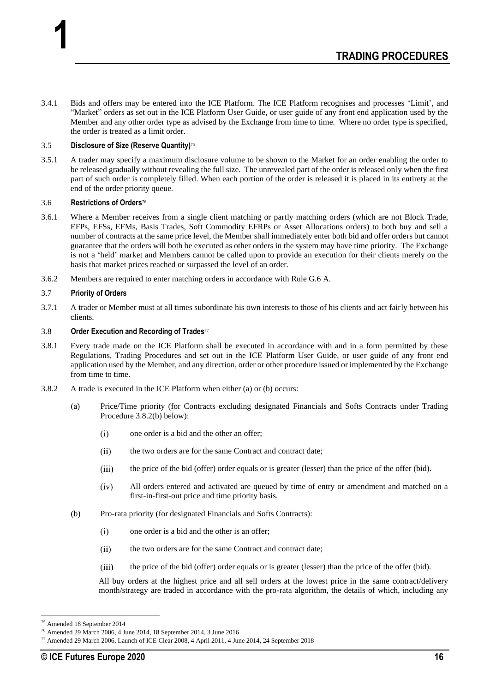3.4.1 Bids and offers may be entered into the ICE Platform. The ICE Platform recognises and processes 'Limit', and "Market" orders as set out in the ICE Platform User Guide, or user guide of any front end application used by the Member and any other order type as advised by the Exchange from time to time. Where no order type is specified, the order is treated as a limit order.

## 3.5 **Disclosure of Size (Reserve Quantity)**<sup>75</sup>

3.5.1 A trader may specify a maximum disclosure volume to be shown to the Market for an order enabling the order to be released gradually without revealing the full size. The unrevealed part of the order is released only when the first part of such order is completely filled. When each portion of the order is released it is placed in its entirety at the end of the order priority queue.

#### 3.6 **Restrictions of Orders**<sup>76</sup>

**1**

- 3.6.1 Where a Member receives from a single client matching or partly matching orders (which are not Block Trade, EFPs, EFSs, EFMs, Basis Trades, Soft Commodity EFRPs or Asset Allocations orders) to both buy and sell a number of contracts at the same price level, the Member shall immediately enter both bid and offer orders but cannot guarantee that the orders will both be executed as other orders in the system may have time priority. The Exchange is not a 'held' market and Members cannot be called upon to provide an execution for their clients merely on the basis that market prices reached or surpassed the level of an order.
- 3.6.2 Members are required to enter matching orders in accordance with Rule G.6 A.

#### 3.7 **Priority of Orders**

3.7.1 A trader or Member must at all times subordinate his own interests to those of his clients and act fairly between his clients.

#### 3.8 **Order Execution and Recording of Trades**<sup>77</sup>

- 3.8.1 Every trade made on the ICE Platform shall be executed in accordance with and in a form permitted by these Regulations, Trading Procedures and set out in the ICE Platform User Guide, or user guide of any front end application used by the Member, and any direction, order or other procedure issued or implemented by the Exchange from time to time.
- 3.8.2 A trade is executed in the ICE Platform when either (a) or (b) occurs:
	- (a) Price/Time priority (for Contracts excluding designated Financials and Softs Contracts under Trading Procedure 3.8.2(b) below):
		- $(i)$ one order is a bid and the other an offer;
		- $(ii)$ the two orders are for the same Contract and contract date;
		- $(iii)$ the price of the bid (offer) order equals or is greater (lesser) than the price of the offer (bid).
		- $(iv)$ All orders entered and activated are queued by time of entry or amendment and matched on a first-in-first-out price and time priority basis.
	- (b) Pro-rata priority (for designated Financials and Softs Contracts):
		- $(i)$ one order is a bid and the other is an offer;
		- $(ii)$ the two orders are for the same Contract and contract date;
		- (iii) the price of the bid (offer) order equals or is greater (lesser) than the price of the offer (bid).

All buy orders at the highest price and all sell orders at the lowest price in the same contract/delivery month/strategy are traded in accordance with the pro-rata algorithm, the details of which, including any

<sup>75</sup> Amended 18 September 2014

<sup>76</sup> Amended 29 March 2006, 4 June 2014, 18 September 2014, 3 June 2016

<sup>77</sup> Amended 29 March 2006, Launch of ICE Clear 2008, 4 April 2011, 4 June 2014, 24 September 2018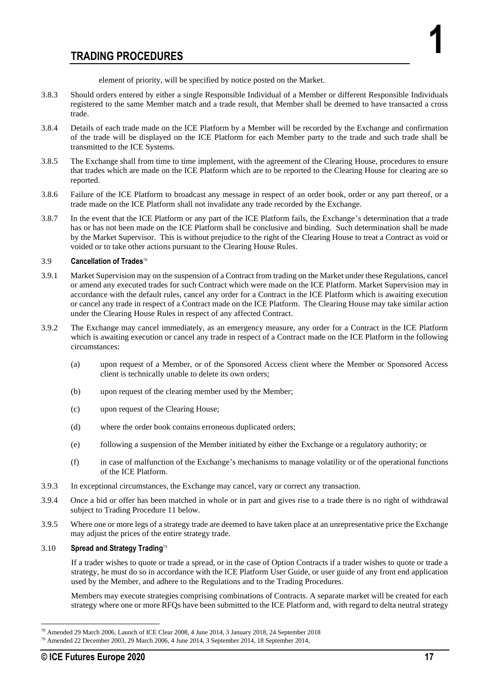element of priority, will be specified by notice posted on the Market.

- 3.8.3 Should orders entered by either a single Responsible Individual of a Member or different Responsible Individuals registered to the same Member match and a trade result, that Member shall be deemed to have transacted a cross trade.
- 3.8.4 Details of each trade made on the ICE Platform by a Member will be recorded by the Exchange and confirmation of the trade will be displayed on the ICE Platform for each Member party to the trade and such trade shall be transmitted to the ICE Systems.
- 3.8.5 The Exchange shall from time to time implement, with the agreement of the Clearing House, procedures to ensure that trades which are made on the ICE Platform which are to be reported to the Clearing House for clearing are so reported.
- 3.8.6 Failure of the ICE Platform to broadcast any message in respect of an order book, order or any part thereof, or a trade made on the ICE Platform shall not invalidate any trade recorded by the Exchange.
- 3.8.7 In the event that the ICE Platform or any part of the ICE Platform fails, the Exchange's determination that a trade has or has not been made on the ICE Platform shall be conclusive and binding. Such determination shall be made by the Market Supervisor. This is without prejudice to the right of the Clearing House to treat a Contract as void or voided or to take other actions pursuant to the Clearing House Rules.

## 3.9 **Cancellation of Trades**<sup>78</sup>

- 3.9.1 Market Supervision may on the suspension of a Contract from trading on the Market under these Regulations, cancel or amend any executed trades for such Contract which were made on the ICE Platform. Market Supervision may in accordance with the default rules, cancel any order for a Contract in the ICE Platform which is awaiting execution or cancel any trade in respect of a Contract made on the ICE Platform. The Clearing House may take similar action under the Clearing House Rules in respect of any affected Contract.
- 3.9.2 The Exchange may cancel immediately, as an emergency measure, any order for a Contract in the ICE Platform which is awaiting execution or cancel any trade in respect of a Contract made on the ICE Platform in the following circumstances:
	- (a) upon request of a Member, or of the Sponsored Access client where the Member or Sponsored Access client is technically unable to delete its own orders;
	- (b) upon request of the clearing member used by the Member;
	- (c) upon request of the Clearing House;
	- (d) where the order book contains erroneous duplicated orders;
	- (e) following a suspension of the Member initiated by either the Exchange or a regulatory authority; or
	- (f) in case of malfunction of the Exchange's mechanisms to manage volatility or of the operational functions of the ICE Platform.
- 3.9.3 In exceptional circumstances, the Exchange may cancel, vary or correct any transaction.
- 3.9.4 Once a bid or offer has been matched in whole or in part and gives rise to a trade there is no right of withdrawal subject to Trading Procedure 11 below.
- 3.9.5 Where one or more legs of a strategy trade are deemed to have taken place at an unrepresentative price the Exchange may adjust the prices of the entire strategy trade.

## 3.10 **Spread and Strategy Trading**<sup>79</sup>

If a trader wishes to quote or trade a spread, or in the case of Option Contracts if a trader wishes to quote or trade a strategy, he must do so in accordance with the ICE Platform User Guide, or user guide of any front end application used by the Member, and adhere to the Regulations and to the Trading Procedures.

Members may execute strategies comprising combinations of Contracts. A separate market will be created for each strategy where one or more RFQs have been submitted to the ICE Platform and, with regard to delta neutral strategy

**1**

<sup>78</sup> Amended 29 March 2006, Launch of ICE Clear 2008, 4 June 2014, 3 January 2018, 24 September 2018

<sup>79</sup> Amended 22 December 2003, 29 March 2006, 4 June 2014, 3 September 2014, 18 September 2014,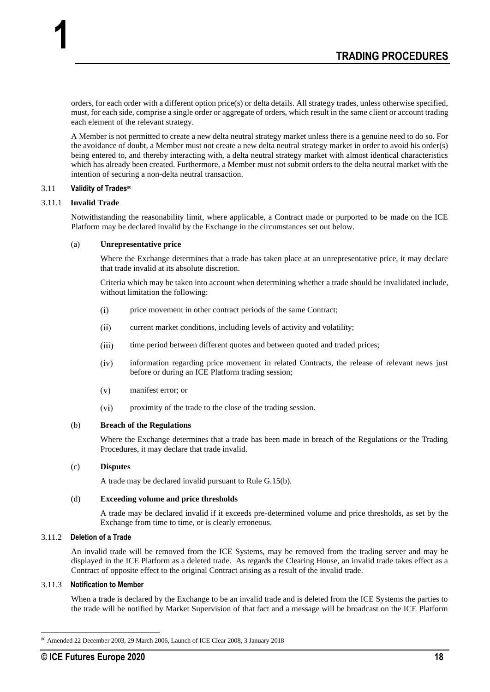orders, for each order with a different option price(s) or delta details. All strategy trades, unless otherwise specified, must, for each side, comprise a single order or aggregate of orders, which result in the same client or account trading each element of the relevant strategy.

A Member is not permitted to create a new delta neutral strategy market unless there is a genuine need to do so. For the avoidance of doubt, a Member must not create a new delta neutral strategy market in order to avoid his order(s) being entered to, and thereby interacting with, a delta neutral strategy market with almost identical characteristics which has already been created. Furthermore, a Member must not submit orders to the delta neutral market with the intention of securing a non-delta neutral transaction.

## 3.11 **Validity of Trades**<sup>80</sup>

## 3.11.1 **Invalid Trade**

**1**

Notwithstanding the reasonability limit, where applicable, a Contract made or purported to be made on the ICE Platform may be declared invalid by the Exchange in the circumstances set out below.

#### (a) **Unrepresentative price**

Where the Exchange determines that a trade has taken place at an unrepresentative price, it may declare that trade invalid at its absolute discretion.

Criteria which may be taken into account when determining whether a trade should be invalidated include, without limitation the following:

- price movement in other contract periods of the same Contract;  $(i)$
- $(ii)$ current market conditions, including levels of activity and volatility;
- $(iii)$ time period between different quotes and between quoted and traded prices;
- $(iv)$ information regarding price movement in related Contracts, the release of relevant news just before or during an ICE Platform trading session;
- $(v)$ manifest error; or
- $(vi)$ proximity of the trade to the close of the trading session.

#### (b) **Breach of the Regulations**

Where the Exchange determines that a trade has been made in breach of the Regulations or the Trading Procedures, it may declare that trade invalid.

## (c) **Disputes**

A trade may be declared invalid pursuant to Rule G.15(b).

## (d) **Exceeding volume and price thresholds**

A trade may be declared invalid if it exceeds pre-determined volume and price thresholds, as set by the Exchange from time to time, or is clearly erroneous.

## 3.11.2 **Deletion of a Trade**

An invalid trade will be removed from the ICE Systems, may be removed from the trading server and may be displayed in the ICE Platform as a deleted trade. As regards the Clearing House, an invalid trade takes effect as a Contract of opposite effect to the original Contract arising as a result of the invalid trade.

#### 3.11.3 **Notification to Member**

When a trade is declared by the Exchange to be an invalid trade and is deleted from the ICE Systems the parties to the trade will be notified by Market Supervision of that fact and a message will be broadcast on the ICE Platform

<sup>80</sup> Amended 22 December 2003, 29 March 2006, Launch of ICE Clear 2008, 3 January 2018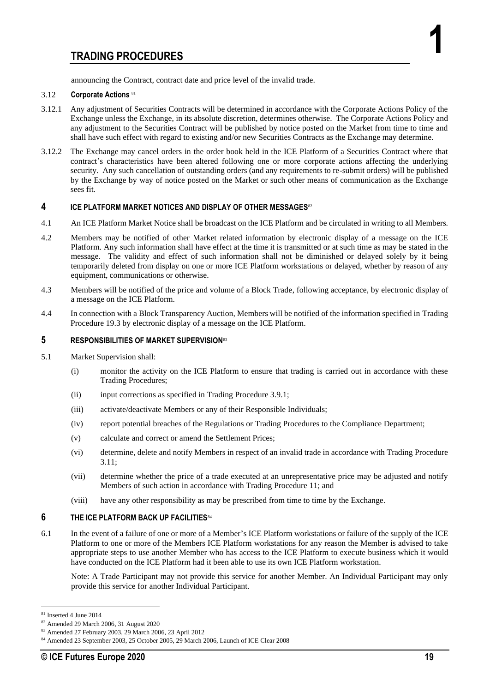announcing the Contract, contract date and price level of the invalid trade.

#### 3.12 **Corporate Actions** <sup>81</sup>

- 3.12.1 Any adjustment of Securities Contracts will be determined in accordance with the Corporate Actions Policy of the Exchange unless the Exchange, in its absolute discretion, determines otherwise. The Corporate Actions Policy and any adjustment to the Securities Contract will be published by notice posted on the Market from time to time and shall have such effect with regard to existing and/or new Securities Contracts as the Exchange may determine.
- 3.12.2 The Exchange may cancel orders in the order book held in the ICE Platform of a Securities Contract where that contract's characteristics have been altered following one or more corporate actions affecting the underlying security. Any such cancellation of outstanding orders (and any requirements to re-submit orders) will be published by the Exchange by way of notice posted on the Market or such other means of communication as the Exchange sees fit.

#### **4 ICE PLATFORM MARKET NOTICES AND DISPLAY OF OTHER MESSAGES**<sup>82</sup>

- 4.1 An ICE Platform Market Notice shall be broadcast on the ICE Platform and be circulated in writing to all Members.
- 4.2 Members may be notified of other Market related information by electronic display of a message on the ICE Platform. Any such information shall have effect at the time it is transmitted or at such time as may be stated in the message. The validity and effect of such information shall not be diminished or delayed solely by it being temporarily deleted from display on one or more ICE Platform workstations or delayed, whether by reason of any equipment, communications or otherwise.
- 4.3 Members will be notified of the price and volume of a Block Trade, following acceptance, by electronic display of a message on the ICE Platform.
- 4.4 In connection with a Block Transparency Auction, Members will be notified of the information specified in Trading Procedure 19.3 by electronic display of a message on the ICE Platform.

## **5 RESPONSIBILITIES OF MARKET SUPERVISION**<sup>83</sup>

- 5.1 Market Supervision shall:
	- (i) monitor the activity on the ICE Platform to ensure that trading is carried out in accordance with these Trading Procedures;
	- (ii) input corrections as specified in Trading Procedure 3.9.1;
	- (iii) activate/deactivate Members or any of their Responsible Individuals;
	- (iv) report potential breaches of the Regulations or Trading Procedures to the Compliance Department;
	- (v) calculate and correct or amend the Settlement Prices;
	- (vi) determine, delete and notify Members in respect of an invalid trade in accordance with Trading Procedure 3.11;
	- (vii) determine whether the price of a trade executed at an unrepresentative price may be adjusted and notify Members of such action in accordance with Trading Procedure 11; and
	- (viii) have any other responsibility as may be prescribed from time to time by the Exchange.

#### **6 THE ICE PLATFORM BACK UP FACILITIES**<sup>84</sup>

6.1 In the event of a failure of one or more of a Member's ICE Platform workstations or failure of the supply of the ICE Platform to one or more of the Members ICE Platform workstations for any reason the Member is advised to take appropriate steps to use another Member who has access to the ICE Platform to execute business which it would have conducted on the ICE Platform had it been able to use its own ICE Platform workstation.

Note: A Trade Participant may not provide this service for another Member. An Individual Participant may only provide this service for another Individual Participant.

**1**

<sup>81</sup> Inserted 4 June 2014

<sup>82</sup> Amended 29 March 2006, 31 August 2020

<sup>83</sup> Amended 27 February 2003, 29 March 2006, 23 April 2012

<sup>84</sup> Amended 23 September 2003, 25 October 2005, 29 March 2006, Launch of ICE Clear 2008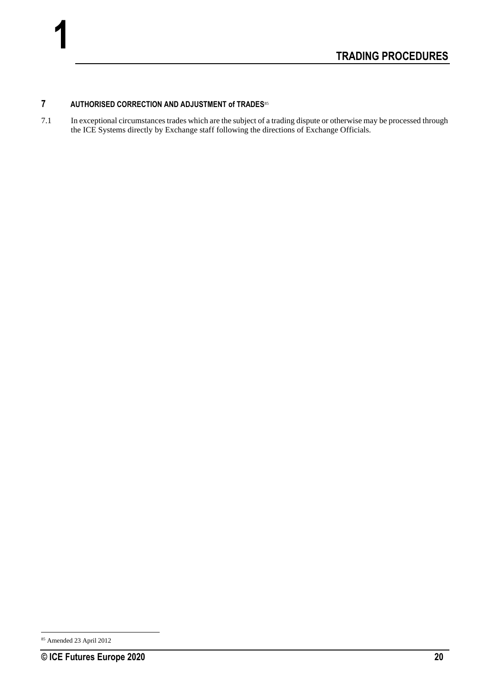## **7 AUTHORISED CORRECTION AND ADJUSTMENT of TRADES**<sup>85</sup>

7.1 In exceptional circumstances trades which are the subject of a trading dispute or otherwise may be processed through the ICE Systems directly by Exchange staff following the directions of Exchange Officials.

<sup>85</sup> Amended 23 April 2012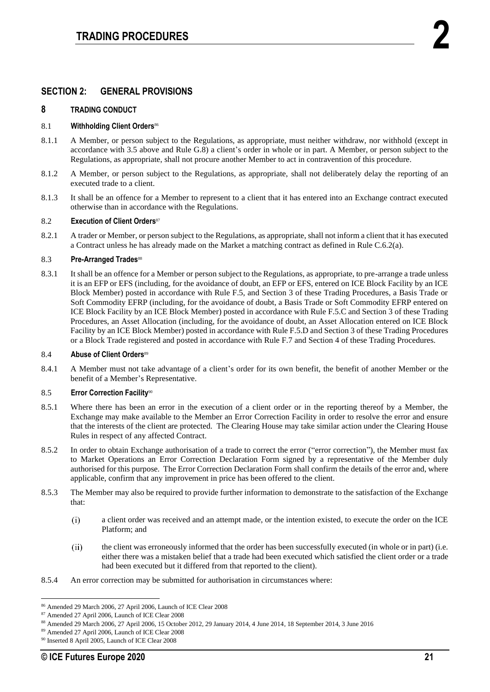## **SECTION 2: GENERAL PROVISIONS**

## **8 TRADING CONDUCT**

## 8.1 **Withholding Client Orders**<sup>86</sup>

- 8.1.1 A Member, or person subject to the Regulations, as appropriate, must neither withdraw, nor withhold (except in accordance with 3.5 above and Rule G.8) a client's order in whole or in part. A Member, or person subject to the Regulations, as appropriate, shall not procure another Member to act in contravention of this procedure.
- 8.1.2 A Member, or person subject to the Regulations, as appropriate, shall not deliberately delay the reporting of an executed trade to a client.
- 8.1.3 It shall be an offence for a Member to represent to a client that it has entered into an Exchange contract executed otherwise than in accordance with the Regulations.

#### 8.2 **Execution of Client Orders**<sup>87</sup>

8.2.1 A trader or Member, or person subject to the Regulations, as appropriate, shall not inform a client that it has executed a Contract unless he has already made on the Market a matching contract as defined in Rule C.6.2(a).

#### 8.3 **Pre-Arranged Trades**<sup>88</sup>

8.3.1 It shall be an offence for a Member or person subject to the Regulations, as appropriate, to pre-arrange a trade unless it is an EFP or EFS (including, for the avoidance of doubt, an EFP or EFS, entered on ICE Block Facility by an ICE Block Member) posted in accordance with Rule F.5, and Section 3 of these Trading Procedures, a Basis Trade or Soft Commodity EFRP (including, for the avoidance of doubt, a Basis Trade or Soft Commodity EFRP entered on ICE Block Facility by an ICE Block Member) posted in accordance with Rule F.5.C and Section 3 of these Trading Procedures, an Asset Allocation (including, for the avoidance of doubt, an Asset Allocation entered on ICE Block Facility by an ICE Block Member) posted in accordance with Rule F.5.D and Section 3 of these Trading Procedures or a Block Trade registered and posted in accordance with Rule F.7 and Section 4 of these Trading Procedures.

#### 8.4 **Abuse of Client Orders**<sup>89</sup>

8.4.1 A Member must not take advantage of a client's order for its own benefit, the benefit of another Member or the benefit of a Member's Representative.

## 8.5 **Error Correction Facility**<sup>90</sup>

- 8.5.1 Where there has been an error in the execution of a client order or in the reporting thereof by a Member, the Exchange may make available to the Member an Error Correction Facility in order to resolve the error and ensure that the interests of the client are protected. The Clearing House may take similar action under the Clearing House Rules in respect of any affected Contract.
- 8.5.2 In order to obtain Exchange authorisation of a trade to correct the error ("error correction"), the Member must fax to Market Operations an Error Correction Declaration Form signed by a representative of the Member duly authorised for this purpose. The Error Correction Declaration Form shall confirm the details of the error and, where applicable, confirm that any improvement in price has been offered to the client.
- 8.5.3 The Member may also be required to provide further information to demonstrate to the satisfaction of the Exchange that:
	- $(i)$ a client order was received and an attempt made, or the intention existed, to execute the order on the ICE Platform; and
	- $(ii)$ the client was erroneously informed that the order has been successfully executed (in whole or in part) (i.e. either there was a mistaken belief that a trade had been executed which satisfied the client order or a trade had been executed but it differed from that reported to the client).
- 8.5.4 An error correction may be submitted for authorisation in circumstances where:

<sup>86</sup> Amended 29 March 2006, 27 April 2006, Launch of ICE Clear 2008

<sup>87</sup> Amended 27 April 2006, Launch of ICE Clear 2008

<sup>88</sup> Amended 29 March 2006, 27 April 2006, 15 October 2012, 29 January 2014, 4 June 2014, 18 September 2014, 3 June 2016

<sup>89</sup> Amended 27 April 2006, Launch of ICE Clear 2008

<sup>90</sup> Inserted 8 April 2005, Launch of ICE Clear 2008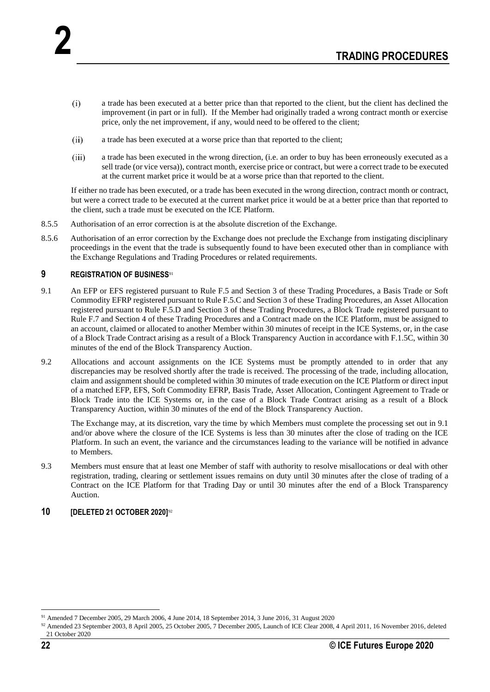- $(i)$ a trade has been executed at a better price than that reported to the client, but the client has declined the improvement (in part or in full). If the Member had originally traded a wrong contract month or exercise price, only the net improvement, if any, would need to be offered to the client;
- $(ii)$ a trade has been executed at a worse price than that reported to the client;
- $(iii)$ a trade has been executed in the wrong direction, (i.e. an order to buy has been erroneously executed as a sell trade (or vice versa)), contract month, exercise price or contract, but were a correct trade to be executed at the current market price it would be at a worse price than that reported to the client.

If either no trade has been executed, or a trade has been executed in the wrong direction, contract month or contract, but were a correct trade to be executed at the current market price it would be at a better price than that reported to the client, such a trade must be executed on the ICE Platform.

- 8.5.5 Authorisation of an error correction is at the absolute discretion of the Exchange.
- 8.5.6 Authorisation of an error correction by the Exchange does not preclude the Exchange from instigating disciplinary proceedings in the event that the trade is subsequently found to have been executed other than in compliance with the Exchange Regulations and Trading Procedures or related requirements.

## **9 REGISTRATION OF BUSINESS**<sup>91</sup>

**2**

- 9.1 An EFP or EFS registered pursuant to Rule F.5 and Section 3 of these Trading Procedures, a Basis Trade or Soft Commodity EFRP registered pursuant to Rule F.5.C and Section 3 of these Trading Procedures, an Asset Allocation registered pursuant to Rule F.5.D and Section 3 of these Trading Procedures, a Block Trade registered pursuant to Rule F.7 and Section 4 of these Trading Procedures and a Contract made on the ICE Platform, must be assigned to an account, claimed or allocated to another Member within 30 minutes of receipt in the ICE Systems, or, in the case of a Block Trade Contract arising as a result of a Block Transparency Auction in accordance with F.1.5C, within 30 minutes of the end of the Block Transparency Auction.
- 9.2 Allocations and account assignments on the ICE Systems must be promptly attended to in order that any discrepancies may be resolved shortly after the trade is received. The processing of the trade, including allocation, claim and assignment should be completed within 30 minutes of trade execution on the ICE Platform or direct input of a matched EFP, EFS, Soft Commodity EFRP, Basis Trade, Asset Allocation, Contingent Agreement to Trade or Block Trade into the ICE Systems or, in the case of a Block Trade Contract arising as a result of a Block Transparency Auction, within 30 minutes of the end of the Block Transparency Auction.

The Exchange may, at its discretion, vary the time by which Members must complete the processing set out in 9.1 and/or above where the closure of the ICE Systems is less than 30 minutes after the close of trading on the ICE Platform. In such an event, the variance and the circumstances leading to the variance will be notified in advance to Members.

9.3 Members must ensure that at least one Member of staff with authority to resolve misallocations or deal with other registration, trading, clearing or settlement issues remains on duty until 30 minutes after the close of trading of a Contract on the ICE Platform for that Trading Day or until 30 minutes after the end of a Block Transparency Auction.

## **10 [DELETED 21 OCTOBER 2020]**<sup>92</sup>

<sup>91</sup> Amended 7 December 2005, 29 March 2006, 4 June 2014, 18 September 2014, 3 June 2016, 31 August 2020

<sup>92</sup> Amended 23 September 2003, 8 April 2005, 25 October 2005, 7 December 2005, Launch of ICE Clear 2008, 4 April 2011, 16 November 2016, deleted 21 October 2020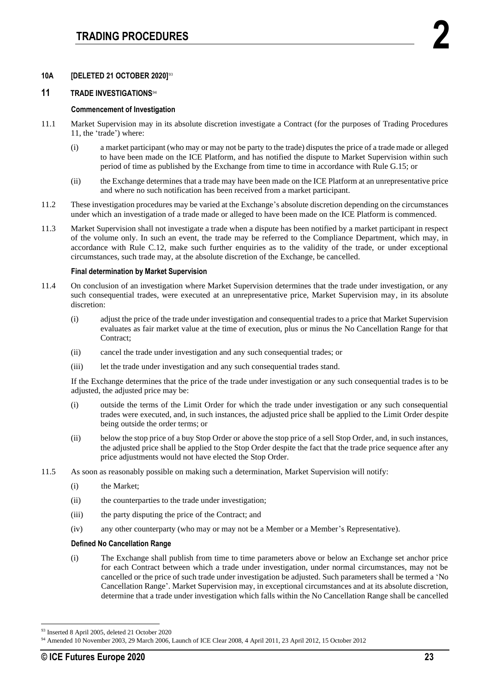## **10A [DELETED 21 OCTOBER 2020]**<sup>93</sup>

## **11 TRADE INVESTIGATIONS**<sup>94</sup>

#### **Commencement of Investigation**

- 11.1 Market Supervision may in its absolute discretion investigate a Contract (for the purposes of Trading Procedures 11, the 'trade') where:
	- (i) a market participant (who may or may not be party to the trade) disputes the price of a trade made or alleged to have been made on the ICE Platform, and has notified the dispute to Market Supervision within such period of time as published by the Exchange from time to time in accordance with Rule G.15; or
	- (ii) the Exchange determines that a trade may have been made on the ICE Platform at an unrepresentative price and where no such notification has been received from a market participant.
- 11.2 These investigation procedures may be varied at the Exchange's absolute discretion depending on the circumstances under which an investigation of a trade made or alleged to have been made on the ICE Platform is commenced.
- 11.3 Market Supervision shall not investigate a trade when a dispute has been notified by a market participant in respect of the volume only. In such an event, the trade may be referred to the Compliance Department, which may, in accordance with Rule C.12, make such further enquiries as to the validity of the trade, or under exceptional circumstances, such trade may, at the absolute discretion of the Exchange, be cancelled.

#### **Final determination by Market Supervision**

- 11.4 On conclusion of an investigation where Market Supervision determines that the trade under investigation, or any such consequential trades, were executed at an unrepresentative price, Market Supervision may, in its absolute discretion:
	- (i) adjust the price of the trade under investigation and consequential trades to a price that Market Supervision evaluates as fair market value at the time of execution, plus or minus the No Cancellation Range for that Contract;
	- (ii) cancel the trade under investigation and any such consequential trades; or
	- (iii) let the trade under investigation and any such consequential trades stand.

If the Exchange determines that the price of the trade under investigation or any such consequential trades is to be adjusted, the adjusted price may be:

- (i) outside the terms of the Limit Order for which the trade under investigation or any such consequential trades were executed, and, in such instances, the adjusted price shall be applied to the Limit Order despite being outside the order terms; or
- (ii) below the stop price of a buy Stop Order or above the stop price of a sell Stop Order, and, in such instances, the adjusted price shall be applied to the Stop Order despite the fact that the trade price sequence after any price adjustments would not have elected the Stop Order.
- 11.5 As soon as reasonably possible on making such a determination, Market Supervision will notify:
	- (i) the Market;
	- (ii) the counterparties to the trade under investigation;
	- (iii) the party disputing the price of the Contract; and
	- (iv) any other counterparty (who may or may not be a Member or a Member's Representative).

## **Defined No Cancellation Range**

(i) The Exchange shall publish from time to time parameters above or below an Exchange set anchor price for each Contract between which a trade under investigation, under normal circumstances, may not be cancelled or the price of such trade under investigation be adjusted. Such parameters shall be termed a 'No Cancellation Range'. Market Supervision may, in exceptional circumstances and at its absolute discretion, determine that a trade under investigation which falls within the No Cancellation Range shall be cancelled

<sup>93</sup> Inserted 8 April 2005, deleted 21 October 2020

<sup>94</sup> Amended 10 November 2003, 29 March 2006, Launch of ICE Clear 2008, 4 April 2011, 23 April 2012, 15 October 2012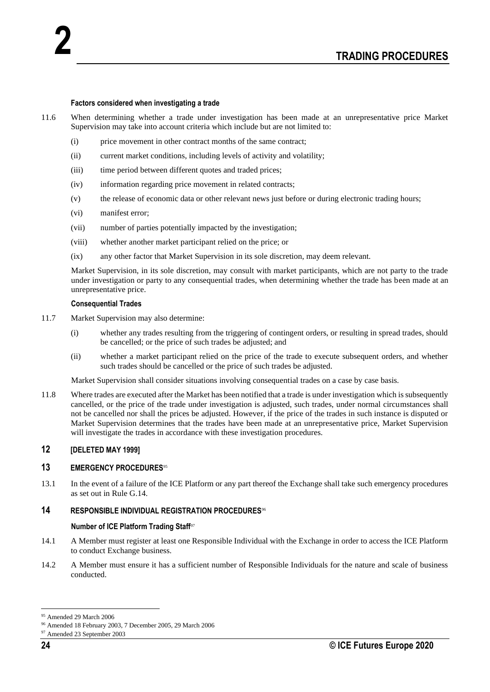#### **Factors considered when investigating a trade**

- 11.6 When determining whether a trade under investigation has been made at an unrepresentative price Market Supervision may take into account criteria which include but are not limited to:
	- (i) price movement in other contract months of the same contract;
	- (ii) current market conditions, including levels of activity and volatility;
	- (iii) time period between different quotes and traded prices;
	- (iv) information regarding price movement in related contracts;
	- (v) the release of economic data or other relevant news just before or during electronic trading hours;
	- (vi) manifest error;

**2**

- (vii) number of parties potentially impacted by the investigation;
- (viii) whether another market participant relied on the price; or
- (ix) any other factor that Market Supervision in its sole discretion, may deem relevant.

Market Supervision, in its sole discretion, may consult with market participants, which are not party to the trade under investigation or party to any consequential trades, when determining whether the trade has been made at an unrepresentative price.

#### **Consequential Trades**

- 11.7 Market Supervision may also determine:
	- (i) whether any trades resulting from the triggering of contingent orders, or resulting in spread trades, should be cancelled; or the price of such trades be adjusted; and
	- (ii) whether a market participant relied on the price of the trade to execute subsequent orders, and whether such trades should be cancelled or the price of such trades be adjusted.

Market Supervision shall consider situations involving consequential trades on a case by case basis.

11.8 Where trades are executed after the Market has been notified that a trade is under investigation which is subsequently cancelled, or the price of the trade under investigation is adjusted, such trades, under normal circumstances shall not be cancelled nor shall the prices be adjusted. However, if the price of the trades in such instance is disputed or Market Supervision determines that the trades have been made at an unrepresentative price, Market Supervision will investigate the trades in accordance with these investigation procedures.

## **12 [DELETED MAY 1999]**

## **13 EMERGENCY PROCEDURES**<sup>95</sup>

13.1 In the event of a failure of the ICE Platform or any part thereof the Exchange shall take such emergency procedures as set out in Rule G.14.

## **14 RESPONSIBLE INDIVIDUAL REGISTRATION PROCEDURES**<sup>96</sup>

#### **Number of ICE Platform Trading Staff**<sup>97</sup>

- 14.1 A Member must register at least one Responsible Individual with the Exchange in order to access the ICE Platform to conduct Exchange business.
- 14.2 A Member must ensure it has a sufficient number of Responsible Individuals for the nature and scale of business conducted.

<sup>95</sup> Amended 29 March 2006

<sup>96</sup> Amended 18 February 2003, 7 December 2005, 29 March 2006

<sup>97</sup> Amended 23 September 2003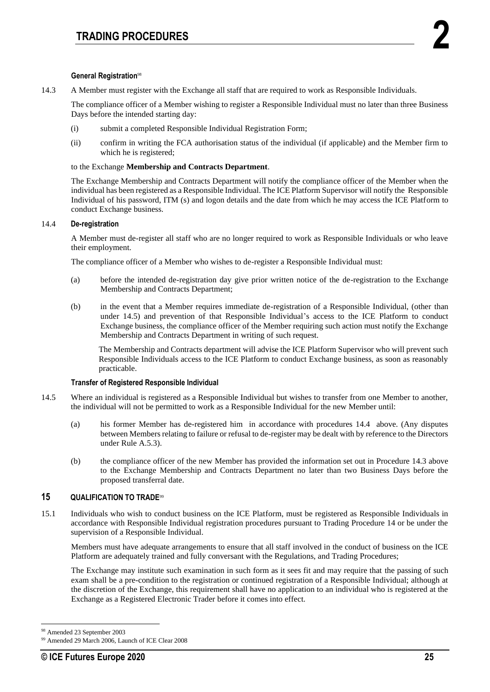## **General Registration**<sup>98</sup>

14.3 A Member must register with the Exchange all staff that are required to work as Responsible Individuals.

The compliance officer of a Member wishing to register a Responsible Individual must no later than three Business Days before the intended starting day:

- (i) submit a completed Responsible Individual Registration Form;
- (ii) confirm in writing the FCA authorisation status of the individual (if applicable) and the Member firm to which he is registered;

#### to the Exchange **Membership and Contracts Department**.

The Exchange Membership and Contracts Department will notify the compliance officer of the Member when the individual has been registered as a Responsible Individual. The ICE Platform Supervisor will notify the Responsible Individual of his password, ITM (s) and logon details and the date from which he may access the ICE Platform to conduct Exchange business.

## 14.4 **De-registration**

A Member must de-register all staff who are no longer required to work as Responsible Individuals or who leave their employment.

The compliance officer of a Member who wishes to de-register a Responsible Individual must:

- (a) before the intended de-registration day give prior written notice of the de-registration to the Exchange Membership and Contracts Department;
- (b) in the event that a Member requires immediate de-registration of a Responsible Individual, (other than under 14.5) and prevention of that Responsible Individual's access to the ICE Platform to conduct Exchange business, the compliance officer of the Member requiring such action must notify the Exchange Membership and Contracts Department in writing of such request.

The Membership and Contracts department will advise the ICE Platform Supervisor who will prevent such Responsible Individuals access to the ICE Platform to conduct Exchange business, as soon as reasonably practicable.

## **Transfer of Registered Responsible Individual**

- 14.5 Where an individual is registered as a Responsible Individual but wishes to transfer from one Member to another, the individual will not be permitted to work as a Responsible Individual for the new Member until:
	- (a) his former Member has de-registered him in accordance with procedures 14.4 above. (Any disputes between Members relating to failure or refusal to de-register may be dealt with by reference to the Directors under Rule A.5.3).
	- (b) the compliance officer of the new Member has provided the information set out in Procedure 14.3 above to the Exchange Membership and Contracts Department no later than two Business Days before the proposed transferral date.

## **15 QUALIFICATION TO TRADE**<sup>99</sup>

15.1 Individuals who wish to conduct business on the ICE Platform, must be registered as Responsible Individuals in accordance with Responsible Individual registration procedures pursuant to Trading Procedure 14 or be under the supervision of a Responsible Individual.

Members must have adequate arrangements to ensure that all staff involved in the conduct of business on the ICE Platform are adequately trained and fully conversant with the Regulations, and Trading Procedures;

The Exchange may institute such examination in such form as it sees fit and may require that the passing of such exam shall be a pre-condition to the registration or continued registration of a Responsible Individual; although at the discretion of the Exchange, this requirement shall have no application to an individual who is registered at the Exchange as a Registered Electronic Trader before it comes into effect.

Amended 23 September 2003

<sup>99</sup> Amended 29 March 2006, Launch of ICE Clear 2008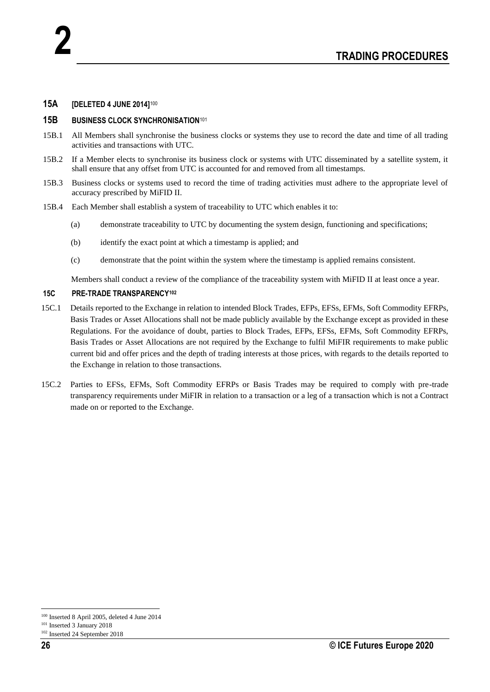## **15A [DELETED 4 JUNE 2014]**<sup>100</sup>

## **15B BUSINESS CLOCK SYNCHRONISATION**<sup>101</sup>

- 15B.1 All Members shall synchronise the business clocks or systems they use to record the date and time of all trading activities and transactions with UTC.
- 15B.2 If a Member elects to synchronise its business clock or systems with UTC disseminated by a satellite system, it shall ensure that any offset from UTC is accounted for and removed from all timestamps.
- 15B.3 Business clocks or systems used to record the time of trading activities must adhere to the appropriate level of accuracy prescribed by MiFID II.
- 15B.4 Each Member shall establish a system of traceability to UTC which enables it to:
	- (a) demonstrate traceability to UTC by documenting the system design, functioning and specifications;
	- (b) identify the exact point at which a timestamp is applied; and
	- (c) demonstrate that the point within the system where the timestamp is applied remains consistent.

Members shall conduct a review of the compliance of the traceability system with MiFID II at least once a year.

## **15C PRE-TRADE TRANSPARENCY<sup>102</sup>**

- 15C.1 Details reported to the Exchange in relation to intended Block Trades, EFPs, EFSs, EFMs, Soft Commodity EFRPs, Basis Trades or Asset Allocations shall not be made publicly available by the Exchange except as provided in these Regulations. For the avoidance of doubt, parties to Block Trades, EFPs, EFSs, EFMs, Soft Commodity EFRPs, Basis Trades or Asset Allocations are not required by the Exchange to fulfil MiFIR requirements to make public current bid and offer prices and the depth of trading interests at those prices, with regards to the details reported to the Exchange in relation to those transactions.
- 15C.2 Parties to EFSs, EFMs, Soft Commodity EFRPs or Basis Trades may be required to comply with pre-trade transparency requirements under MiFIR in relation to a transaction or a leg of a transaction which is not a Contract made on or reported to the Exchange.

<sup>100</sup> Inserted 8 April 2005, deleted 4 June 2014

<sup>101</sup> Inserted 3 January 2018

<sup>102</sup> Inserted 24 September 2018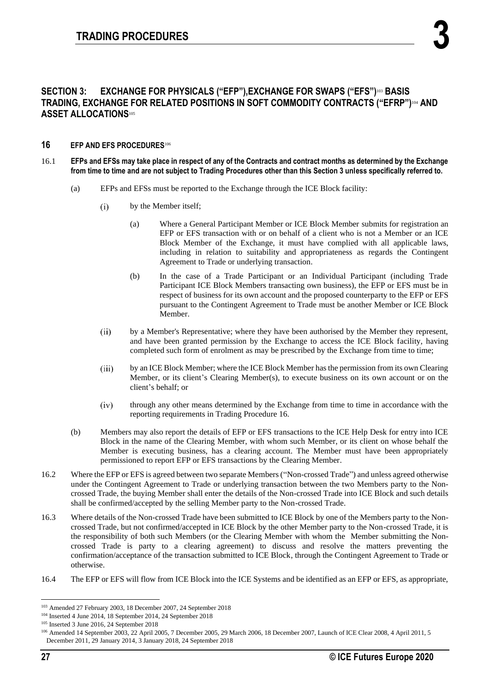## **SECTION 3: EXCHANGE FOR PHYSICALS ("EFP"),EXCHANGE FOR SWAPS ("EFS")** <sup>103</sup> **BASIS TRADING, EXCHANGE FOR RELATED POSITIONS IN SOFT COMMODITY CONTRACTS ("EFRP")** <sup>104</sup> **AND ASSET ALLOCATIONS**<sup>105</sup>

## **16 EFP AND EFS PROCEDURES**<sup>106</sup>

- 16.1 **EFPs and EFSs may take place in respect of any of the Contracts and contract months as determined by the Exchange from time to time and are not subject to Trading Procedures other than this Section 3 unless specifically referred to.** 
	- (a) EFPs and EFSs must be reported to the Exchange through the ICE Block facility:
		- $(i)$ by the Member itself;
			- (a) Where a General Participant Member or ICE Block Member submits for registration an EFP or EFS transaction with or on behalf of a client who is not a Member or an ICE Block Member of the Exchange, it must have complied with all applicable laws, including in relation to suitability and appropriateness as regards the Contingent Agreement to Trade or underlying transaction.
			- (b) In the case of a Trade Participant or an Individual Participant (including Trade Participant ICE Block Members transacting own business), the EFP or EFS must be in respect of business for its own account and the proposed counterparty to the EFP or EFS pursuant to the Contingent Agreement to Trade must be another Member or ICE Block Member.
		- $(ii)$ by a Member's Representative; where they have been authorised by the Member they represent, and have been granted permission by the Exchange to access the ICE Block facility, having completed such form of enrolment as may be prescribed by the Exchange from time to time;
		- by an ICE Block Member; where the ICE Block Member has the permission from its own Clearing  $(iii)$ Member, or its client's Clearing Member(s), to execute business on its own account or on the client's behalf; or
		- $(iv)$ through any other means determined by the Exchange from time to time in accordance with the reporting requirements in Trading Procedure 16.
	- (b) Members may also report the details of EFP or EFS transactions to the ICE Help Desk for entry into ICE Block in the name of the Clearing Member, with whom such Member, or its client on whose behalf the Member is executing business, has a clearing account. The Member must have been appropriately permissioned to report EFP or EFS transactions by the Clearing Member.
- 16.2 Where the EFP or EFS is agreed between two separate Members ("Non-crossed Trade") and unless agreed otherwise under the Contingent Agreement to Trade or underlying transaction between the two Members party to the Noncrossed Trade, the buying Member shall enter the details of the Non-crossed Trade into ICE Block and such details shall be confirmed/accepted by the selling Member party to the Non-crossed Trade.
- 16.3 Where details of the Non-crossed Trade have been submitted to ICE Block by one of the Members party to the Noncrossed Trade, but not confirmed/accepted in ICE Block by the other Member party to the Non-crossed Trade, it is the responsibility of both such Members (or the Clearing Member with whom the Member submitting the Noncrossed Trade is party to a clearing agreement) to discuss and resolve the matters preventing the confirmation/acceptance of the transaction submitted to ICE Block, through the Contingent Agreement to Trade or otherwise.
- 16.4 The EFP or EFS will flow from ICE Block into the ICE Systems and be identified as an EFP or EFS, as appropriate,

<sup>103</sup> Amended 27 February 2003, 18 December 2007, 24 September 2018

<sup>104</sup> Inserted 4 June 2014, 18 September 2014, 24 September 2018

<sup>105</sup> Inserted 3 June 2016, 24 September 2018

<sup>106</sup> Amended 14 September 2003, 22 April 2005, 7 December 2005, 29 March 2006, 18 December 2007, Launch of ICE Clear 2008, 4 April 2011, 5 December 2011, 29 January 2014, 3 January 2018, 24 September 2018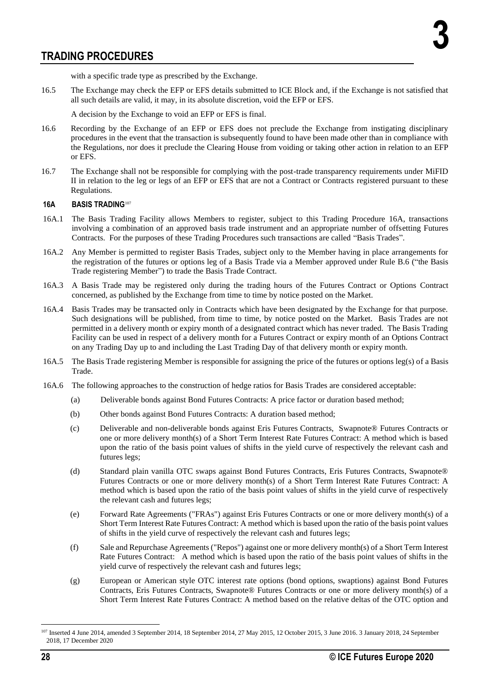with a specific trade type as prescribed by the Exchange.

16.5 The Exchange may check the EFP or EFS details submitted to ICE Block and, if the Exchange is not satisfied that all such details are valid, it may, in its absolute discretion, void the EFP or EFS.

A decision by the Exchange to void an EFP or EFS is final.

- 16.6 Recording by the Exchange of an EFP or EFS does not preclude the Exchange from instigating disciplinary procedures in the event that the transaction is subsequently found to have been made other than in compliance with the Regulations, nor does it preclude the Clearing House from voiding or taking other action in relation to an EFP or EFS.
- 16.7 The Exchange shall not be responsible for complying with the post-trade transparency requirements under MiFID II in relation to the leg or legs of an EFP or EFS that are not a Contract or Contracts registered pursuant to these Regulations.

## **16A BASIS TRADING**<sup>107</sup>

- 16A.1 The Basis Trading Facility allows Members to register, subject to this Trading Procedure 16A, transactions involving a combination of an approved basis trade instrument and an appropriate number of offsetting Futures Contracts. For the purposes of these Trading Procedures such transactions are called "Basis Trades".
- 16A.2 Any Member is permitted to register Basis Trades, subject only to the Member having in place arrangements for the registration of the futures or options leg of a Basis Trade via a Member approved under Rule B.6 ("the Basis Trade registering Member") to trade the Basis Trade Contract.
- 16A.3 A Basis Trade may be registered only during the trading hours of the Futures Contract or Options Contract concerned, as published by the Exchange from time to time by notice posted on the Market.
- 16A.4 Basis Trades may be transacted only in Contracts which have been designated by the Exchange for that purpose. Such designations will be published, from time to time, by notice posted on the Market. Basis Trades are not permitted in a delivery month or expiry month of a designated contract which has never traded. The Basis Trading Facility can be used in respect of a delivery month for a Futures Contract or expiry month of an Options Contract on any Trading Day up to and including the Last Trading Day of that delivery month or expiry month.
- 16A.5 The Basis Trade registering Member is responsible for assigning the price of the futures or options leg(s) of a Basis Trade.
- 16A.6 The following approaches to the construction of hedge ratios for Basis Trades are considered acceptable:
	- (a) Deliverable bonds against Bond Futures Contracts: A price factor or duration based method;
	- (b) Other bonds against Bond Futures Contracts: A duration based method;
	- (c) Deliverable and non-deliverable bonds against Eris Futures Contracts, Swapnote® Futures Contracts or one or more delivery month(s) of a Short Term Interest Rate Futures Contract: A method which is based upon the ratio of the basis point values of shifts in the yield curve of respectively the relevant cash and futures legs;
	- (d) Standard plain vanilla OTC swaps against Bond Futures Contracts, Eris Futures Contracts, Swapnote® Futures Contracts or one or more delivery month(s) of a Short Term Interest Rate Futures Contract: A method which is based upon the ratio of the basis point values of shifts in the yield curve of respectively the relevant cash and futures legs;
	- (e) Forward Rate Agreements ("FRAs") against Eris Futures Contracts or one or more delivery month(s) of a Short Term Interest Rate Futures Contract: A method which is based upon the ratio of the basis point values of shifts in the yield curve of respectively the relevant cash and futures legs;
	- (f) Sale and Repurchase Agreements ("Repos") against one or more delivery month(s) of a Short Term Interest Rate Futures Contract: A method which is based upon the ratio of the basis point values of shifts in the yield curve of respectively the relevant cash and futures legs;
	- (g) European or American style OTC interest rate options (bond options, swaptions) against Bond Futures Contracts, Eris Futures Contracts, Swapnote® Futures Contracts or one or more delivery month(s) of a Short Term Interest Rate Futures Contract: A method based on the relative deltas of the OTC option and

<sup>107</sup> Inserted 4 June 2014, amended 3 September 2014, 18 September 2014, 27 May 2015, 12 October 2015, 3 June 2016. 3 January 2018, 24 September 2018, 17 December 2020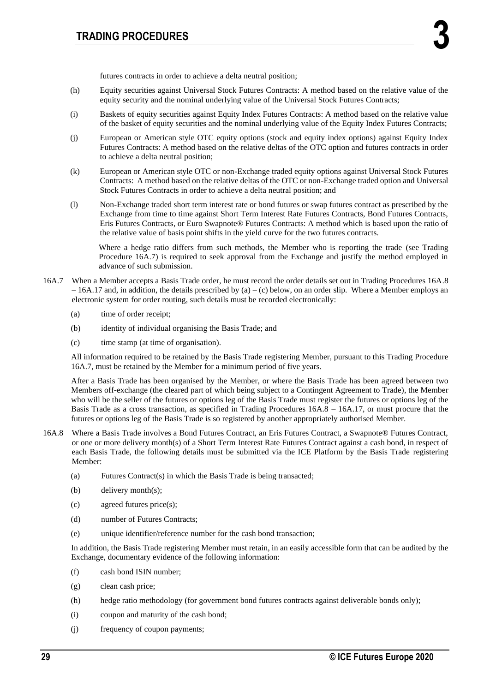futures contracts in order to achieve a delta neutral position;

- (h) Equity securities against Universal Stock Futures Contracts: A method based on the relative value of the equity security and the nominal underlying value of the Universal Stock Futures Contracts;
- (i) Baskets of equity securities against Equity Index Futures Contracts: A method based on the relative value of the basket of equity securities and the nominal underlying value of the Equity Index Futures Contracts;
- (j) European or American style OTC equity options (stock and equity index options) against Equity Index Futures Contracts: A method based on the relative deltas of the OTC option and futures contracts in order to achieve a delta neutral position;
- (k) European or American style OTC or non-Exchange traded equity options against Universal Stock Futures Contracts: A method based on the relative deltas of the OTC or non-Exchange traded option and Universal Stock Futures Contracts in order to achieve a delta neutral position; and
- (l) Non-Exchange traded short term interest rate or bond futures or swap futures contract as prescribed by the Exchange from time to time against Short Term Interest Rate Futures Contracts, Bond Futures Contracts, Eris Futures Contracts, or Euro Swapnote® Futures Contracts: A method which is based upon the ratio of the relative value of basis point shifts in the yield curve for the two futures contracts.

Where a hedge ratio differs from such methods, the Member who is reporting the trade (see Trading Procedure 16A.7) is required to seek approval from the Exchange and justify the method employed in advance of such submission.

- 16A.7 When a Member accepts a Basis Trade order, he must record the order details set out in Trading Procedures 16A.8  $-16A.17$  and, in addition, the details prescribed by (a) – (c) below, on an order slip. Where a Member employs an electronic system for order routing, such details must be recorded electronically:
	- (a) time of order receipt;
	- (b) identity of individual organising the Basis Trade; and
	- (c) time stamp (at time of organisation).

All information required to be retained by the Basis Trade registering Member, pursuant to this Trading Procedure 16A.7, must be retained by the Member for a minimum period of five years.

After a Basis Trade has been organised by the Member, or where the Basis Trade has been agreed between two Members off-exchange (the cleared part of which being subject to a Contingent Agreement to Trade), the Member who will be the seller of the futures or options leg of the Basis Trade must register the futures or options leg of the Basis Trade as a cross transaction, as specified in Trading Procedures 16A.8 – 16A.17, or must procure that the futures or options leg of the Basis Trade is so registered by another appropriately authorised Member.

- 16A.8 Where a Basis Trade involves a Bond Futures Contract, an Eris Futures Contract, a Swapnote® Futures Contract, or one or more delivery month(s) of a Short Term Interest Rate Futures Contract against a cash bond, in respect of each Basis Trade, the following details must be submitted via the ICE Platform by the Basis Trade registering Member:
	- (a) Futures Contract(s) in which the Basis Trade is being transacted;
	- (b) delivery month(s);
	- (c) agreed futures price(s);
	- (d) number of Futures Contracts;
	- (e) unique identifier/reference number for the cash bond transaction;

In addition, the Basis Trade registering Member must retain, in an easily accessible form that can be audited by the Exchange, documentary evidence of the following information:

- (f) cash bond ISIN number;
- (g) clean cash price;
- (h) hedge ratio methodology (for government bond futures contracts against deliverable bonds only);
- (i) coupon and maturity of the cash bond;
- (j) frequency of coupon payments;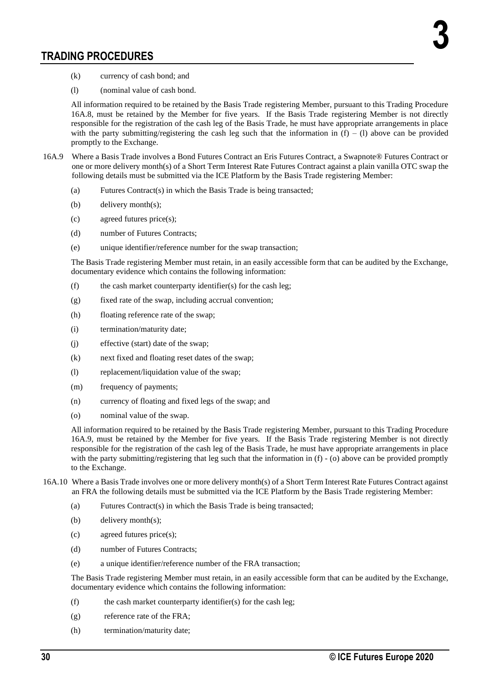- (k) currency of cash bond; and
- (l) (nominal value of cash bond.

All information required to be retained by the Basis Trade registering Member, pursuant to this Trading Procedure 16A.8, must be retained by the Member for five years. If the Basis Trade registering Member is not directly responsible for the registration of the cash leg of the Basis Trade, he must have appropriate arrangements in place with the party submitting/registering the cash leg such that the information in  $(f) - (1)$  above can be provided promptly to the Exchange.

- 16A.9 Where a Basis Trade involves a Bond Futures Contract an Eris Futures Contract, a Swapnote® Futures Contract or one or more delivery month(s) of a Short Term Interest Rate Futures Contract against a plain vanilla OTC swap the following details must be submitted via the ICE Platform by the Basis Trade registering Member:
	- (a) Futures Contract(s) in which the Basis Trade is being transacted;
	- (b) delivery month(s);
	- (c) agreed futures price(s);
	- (d) number of Futures Contracts;
	- (e) unique identifier/reference number for the swap transaction;

The Basis Trade registering Member must retain, in an easily accessible form that can be audited by the Exchange, documentary evidence which contains the following information:

- (f) the cash market counterparty identifier(s) for the cash leg;
- (g) fixed rate of the swap, including accrual convention;
- (h) floating reference rate of the swap;
- (i) termination/maturity date;
- (j) effective (start) date of the swap;
- (k) next fixed and floating reset dates of the swap;
- (l) replacement/liquidation value of the swap;
- (m) frequency of payments;
- (n) currency of floating and fixed legs of the swap; and
- (o) nominal value of the swap.

All information required to be retained by the Basis Trade registering Member, pursuant to this Trading Procedure 16A.9, must be retained by the Member for five years. If the Basis Trade registering Member is not directly responsible for the registration of the cash leg of the Basis Trade, he must have appropriate arrangements in place with the party submitting/registering that leg such that the information in (f) - (o) above can be provided promptly to the Exchange.

- 16A.10 Where a Basis Trade involves one or more delivery month(s) of a Short Term Interest Rate Futures Contract against an FRA the following details must be submitted via the ICE Platform by the Basis Trade registering Member:
	- (a) Futures Contract(s) in which the Basis Trade is being transacted;
	- (b) delivery month(s);
	- (c) agreed futures price(s);
	- (d) number of Futures Contracts;
	- (e) a unique identifier/reference number of the FRA transaction;

The Basis Trade registering Member must retain, in an easily accessible form that can be audited by the Exchange, documentary evidence which contains the following information:

- (f) the cash market counterparty identifier(s) for the cash leg;
- (g) reference rate of the FRA;
- (h) termination/maturity date;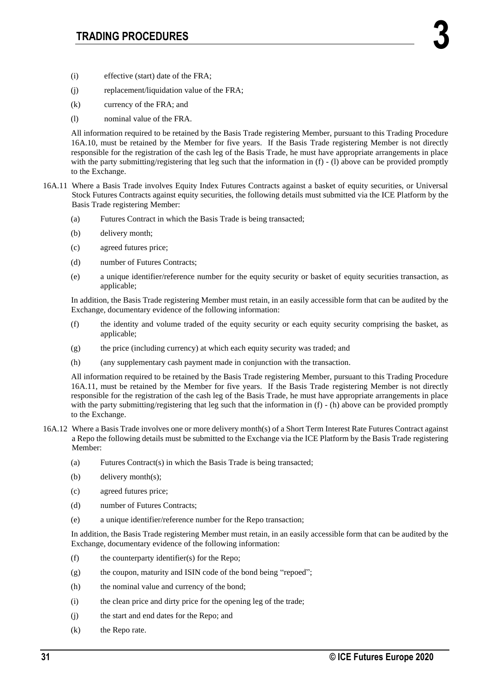- (i) effective (start) date of the FRA;
- (j) replacement/liquidation value of the FRA;
- (k) currency of the FRA; and
- (l) nominal value of the FRA.

All information required to be retained by the Basis Trade registering Member, pursuant to this Trading Procedure 16A.10, must be retained by the Member for five years. If the Basis Trade registering Member is not directly responsible for the registration of the cash leg of the Basis Trade, he must have appropriate arrangements in place with the party submitting/registering that leg such that the information in (f) - (l) above can be provided promptly to the Exchange.

- 16A.11 Where a Basis Trade involves Equity Index Futures Contracts against a basket of equity securities, or Universal Stock Futures Contracts against equity securities, the following details must submitted via the ICE Platform by the Basis Trade registering Member:
	- (a) Futures Contract in which the Basis Trade is being transacted;
	- (b) delivery month;
	- (c) agreed futures price;
	- (d) number of Futures Contracts;
	- (e) a unique identifier/reference number for the equity security or basket of equity securities transaction, as applicable;

In addition, the Basis Trade registering Member must retain, in an easily accessible form that can be audited by the Exchange, documentary evidence of the following information:

- (f) the identity and volume traded of the equity security or each equity security comprising the basket, as applicable;
- (g) the price (including currency) at which each equity security was traded; and
- (h) (any supplementary cash payment made in conjunction with the transaction.

All information required to be retained by the Basis Trade registering Member, pursuant to this Trading Procedure 16A.11, must be retained by the Member for five years. If the Basis Trade registering Member is not directly responsible for the registration of the cash leg of the Basis Trade, he must have appropriate arrangements in place with the party submitting/registering that leg such that the information in (f) - (h) above can be provided promptly to the Exchange.

- 16A.12 Where a Basis Trade involves one or more delivery month(s) of a Short Term Interest Rate Futures Contract against a Repo the following details must be submitted to the Exchange via the ICE Platform by the Basis Trade registering Member:
	- (a) Futures Contract(s) in which the Basis Trade is being transacted;
	- (b) delivery month(s);
	- (c) agreed futures price;
	- (d) number of Futures Contracts;
	- (e) a unique identifier/reference number for the Repo transaction;

In addition, the Basis Trade registering Member must retain, in an easily accessible form that can be audited by the Exchange, documentary evidence of the following information:

- (f) the counterparty identifier(s) for the Repo;
- (g) the coupon, maturity and ISIN code of the bond being "repoed";
- (h) the nominal value and currency of the bond;
- (i) the clean price and dirty price for the opening leg of the trade;
- (j) the start and end dates for the Repo; and
- (k) the Repo rate.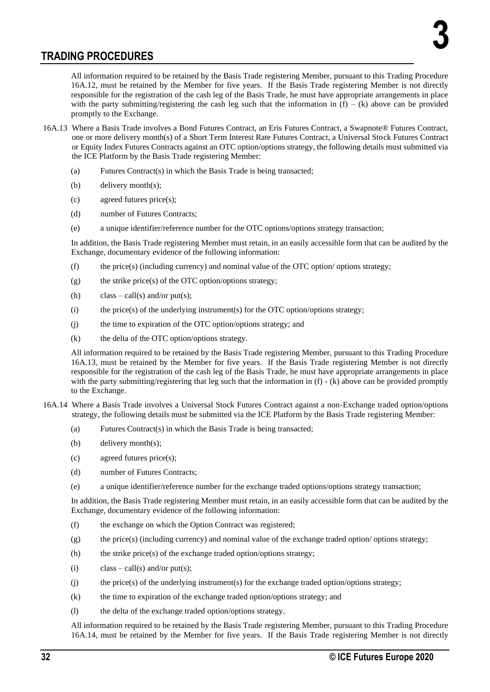All information required to be retained by the Basis Trade registering Member, pursuant to this Trading Procedure 16A.12, must be retained by the Member for five years. If the Basis Trade registering Member is not directly responsible for the registration of the cash leg of the Basis Trade, he must have appropriate arrangements in place with the party submitting/registering the cash leg such that the information in  $(f) - (k)$  above can be provided promptly to the Exchange.

- 16A.13 Where a Basis Trade involves a Bond Futures Contract, an Eris Futures Contract, a Swapnote® Futures Contract, one or more delivery month(s) of a Short Term Interest Rate Futures Contract, a Universal Stock Futures Contract or Equity Index Futures Contracts against an OTC option/options strategy, the following details must submitted via the ICE Platform by the Basis Trade registering Member:
	- (a) Futures Contract(s) in which the Basis Trade is being transacted;
	- (b) delivery month(s);
	- (c) agreed futures price(s);
	- (d) number of Futures Contracts;
	- (e) a unique identifier/reference number for the OTC options/options strategy transaction;

In addition, the Basis Trade registering Member must retain, in an easily accessible form that can be audited by the Exchange, documentary evidence of the following information:

- (f) the price(s) (including currency) and nominal value of the OTC option/ options strategy;
- $(g)$  the strike price(s) of the OTC option/options strategy;
- (h) class call(s) and/or put(s);
- (i) the price(s) of the underlying instrument(s) for the OTC option/options strategy;
- (j) the time to expiration of the OTC option/options strategy; and
- (k) the delta of the OTC option/options strategy.

All information required to be retained by the Basis Trade registering Member, pursuant to this Trading Procedure 16A.13, must be retained by the Member for five years. If the Basis Trade registering Member is not directly responsible for the registration of the cash leg of the Basis Trade, he must have appropriate arrangements in place with the party submitting/registering that leg such that the information in (f) - (k) above can be provided promptly to the Exchange.

- 16A.14 Where a Basis Trade involves a Universal Stock Futures Contract against a non-Exchange traded option/options strategy, the following details must be submitted via the ICE Platform by the Basis Trade registering Member:
	- (a) Futures Contract(s) in which the Basis Trade is being transacted;
	- (b) delivery month(s);
	- (c) agreed futures price(s);
	- (d) number of Futures Contracts;
	- (e) a unique identifier/reference number for the exchange traded options/options strategy transaction;

In addition, the Basis Trade registering Member must retain, in an easily accessible form that can be audited by the Exchange, documentary evidence of the following information:

- (f) the exchange on which the Option Contract was registered;
- $(g)$  the price(s) (including currency) and nominal value of the exchange traded option/ options strategy;
- (h) the strike price(s) of the exchange traded option/options strategy;
- (i) class call(s) and/or put(s);
- $(i)$  the price(s) of the underlying instrument(s) for the exchange traded option/options strategy;
- (k) the time to expiration of the exchange traded option/options strategy; and
- (l) the delta of the exchange traded option/options strategy.

All information required to be retained by the Basis Trade registering Member, pursuant to this Trading Procedure 16A.14, must be retained by the Member for five years. If the Basis Trade registering Member is not directly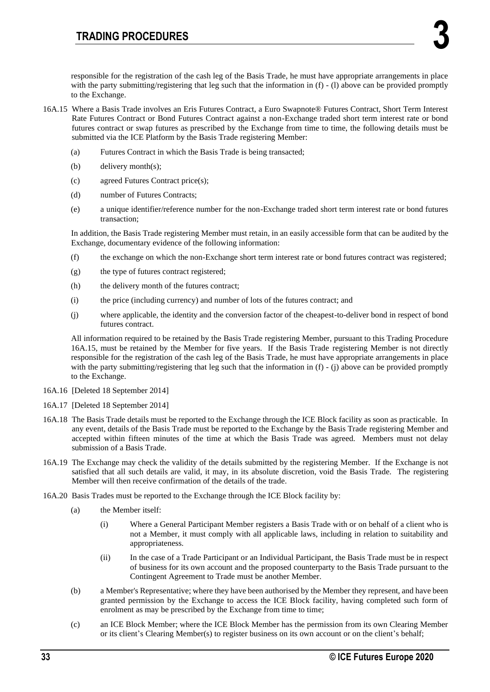responsible for the registration of the cash leg of the Basis Trade, he must have appropriate arrangements in place with the party submitting/registering that leg such that the information in  $(f)$  - (1) above can be provided promptly to the Exchange.

- 16A.15 Where a Basis Trade involves an Eris Futures Contract, a Euro Swapnote® Futures Contract, Short Term Interest Rate Futures Contract or Bond Futures Contract against a non-Exchange traded short term interest rate or bond futures contract or swap futures as prescribed by the Exchange from time to time, the following details must be submitted via the ICE Platform by the Basis Trade registering Member:
	- (a) Futures Contract in which the Basis Trade is being transacted;
	- (b) delivery month(s);
	- (c) agreed Futures Contract price(s);
	- (d) number of Futures Contracts;
	- (e) a unique identifier/reference number for the non-Exchange traded short term interest rate or bond futures transaction;

In addition, the Basis Trade registering Member must retain, in an easily accessible form that can be audited by the Exchange, documentary evidence of the following information:

- (f) the exchange on which the non-Exchange short term interest rate or bond futures contract was registered;
- (g) the type of futures contract registered;
- (h) the delivery month of the futures contract;
- (i) the price (including currency) and number of lots of the futures contract; and
- (j) where applicable, the identity and the conversion factor of the cheapest-to-deliver bond in respect of bond futures contract.

All information required to be retained by the Basis Trade registering Member, pursuant to this Trading Procedure 16A.15, must be retained by the Member for five years. If the Basis Trade registering Member is not directly responsible for the registration of the cash leg of the Basis Trade, he must have appropriate arrangements in place with the party submitting/registering that leg such that the information in (f) - (j) above can be provided promptly to the Exchange.

- 16A.16 [Deleted 18 September 2014]
- 16A.17 [Deleted 18 September 2014]
- 16A.18 The Basis Trade details must be reported to the Exchange through the ICE Block facility as soon as practicable. In any event, details of the Basis Trade must be reported to the Exchange by the Basis Trade registering Member and accepted within fifteen minutes of the time at which the Basis Trade was agreed. Members must not delay submission of a Basis Trade.
- 16A.19 The Exchange may check the validity of the details submitted by the registering Member. If the Exchange is not satisfied that all such details are valid, it may, in its absolute discretion, void the Basis Trade. The registering Member will then receive confirmation of the details of the trade.
- 16A.20 Basis Trades must be reported to the Exchange through the ICE Block facility by:
	- (a) the Member itself:
		- (i) Where a General Participant Member registers a Basis Trade with or on behalf of a client who is not a Member, it must comply with all applicable laws, including in relation to suitability and appropriateness.
		- (ii) In the case of a Trade Participant or an Individual Participant, the Basis Trade must be in respect of business for its own account and the proposed counterparty to the Basis Trade pursuant to the Contingent Agreement to Trade must be another Member.
	- (b) a Member's Representative; where they have been authorised by the Member they represent, and have been granted permission by the Exchange to access the ICE Block facility, having completed such form of enrolment as may be prescribed by the Exchange from time to time;
	- (c) an ICE Block Member; where the ICE Block Member has the permission from its own Clearing Member or its client's Clearing Member(s) to register business on its own account or on the client's behalf;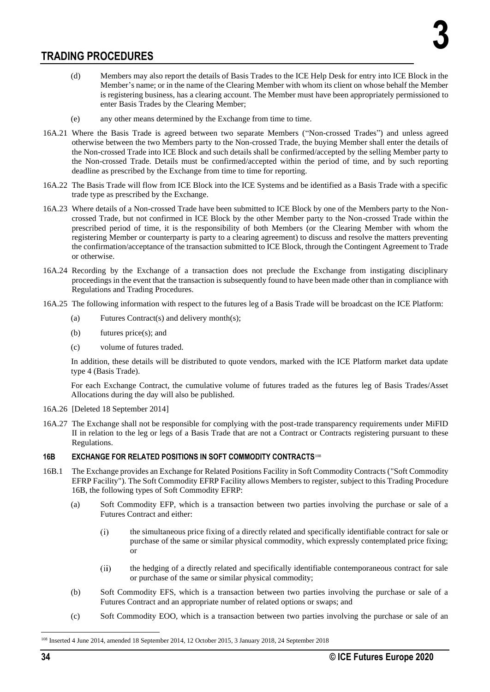- (d) Members may also report the details of Basis Trades to the ICE Help Desk for entry into ICE Block in the Member's name; or in the name of the Clearing Member with whom its client on whose behalf the Member is registering business, has a clearing account. The Member must have been appropriately permissioned to enter Basis Trades by the Clearing Member;
- (e) any other means determined by the Exchange from time to time.
- 16A.21 Where the Basis Trade is agreed between two separate Members ("Non-crossed Trades") and unless agreed otherwise between the two Members party to the Non-crossed Trade, the buying Member shall enter the details of the Non-crossed Trade into ICE Block and such details shall be confirmed/accepted by the selling Member party to the Non-crossed Trade. Details must be confirmed/accepted within the period of time, and by such reporting deadline as prescribed by the Exchange from time to time for reporting.
- 16A.22 The Basis Trade will flow from ICE Block into the ICE Systems and be identified as a Basis Trade with a specific trade type as prescribed by the Exchange.
- 16A.23 Where details of a Non-crossed Trade have been submitted to ICE Block by one of the Members party to the Noncrossed Trade, but not confirmed in ICE Block by the other Member party to the Non-crossed Trade within the prescribed period of time, it is the responsibility of both Members (or the Clearing Member with whom the registering Member or counterparty is party to a clearing agreement) to discuss and resolve the matters preventing the confirmation/acceptance of the transaction submitted to ICE Block, through the Contingent Agreement to Trade or otherwise.
- 16A.24 Recording by the Exchange of a transaction does not preclude the Exchange from instigating disciplinary proceedings in the event that the transaction is subsequently found to have been made other than in compliance with Regulations and Trading Procedures.
- 16A.25 The following information with respect to the futures leg of a Basis Trade will be broadcast on the ICE Platform:
	- (a) Futures Contract(s) and delivery month(s);
	- (b) futures price(s); and
	- (c) volume of futures traded.

In addition, these details will be distributed to quote vendors, marked with the ICE Platform market data update type 4 (Basis Trade).

For each Exchange Contract, the cumulative volume of futures traded as the futures leg of Basis Trades/Asset Allocations during the day will also be published.

- 16A.26 [Deleted 18 September 2014]
- 16A.27 The Exchange shall not be responsible for complying with the post-trade transparency requirements under MiFID II in relation to the leg or legs of a Basis Trade that are not a Contract or Contracts registering pursuant to these Regulations.

## **16B EXCHANGE FOR RELATED POSITIONS IN SOFT COMMODITY CONTRACTS**<sup>108</sup>

- 16B.1 The Exchange provides an Exchange for Related Positions Facility in Soft Commodity Contracts ("Soft Commodity EFRP Facility"). The Soft Commodity EFRP Facility allows Members to register, subject to this Trading Procedure 16B, the following types of Soft Commodity EFRP:
	- (a) Soft Commodity EFP, which is a transaction between two parties involving the purchase or sale of a Futures Contract and either:
		- the simultaneous price fixing of a directly related and specifically identifiable contract for sale or  $(i)$ purchase of the same or similar physical commodity, which expressly contemplated price fixing; or
		- $(ii)$ the hedging of a directly related and specifically identifiable contemporaneous contract for sale or purchase of the same or similar physical commodity;
	- (b) Soft Commodity EFS, which is a transaction between two parties involving the purchase or sale of a Futures Contract and an appropriate number of related options or swaps; and
	- (c) Soft Commodity EOO, which is a transaction between two parties involving the purchase or sale of an

<sup>108</sup> Inserted 4 June 2014, amended 18 September 2014, 12 October 2015, 3 January 2018, 24 September 2018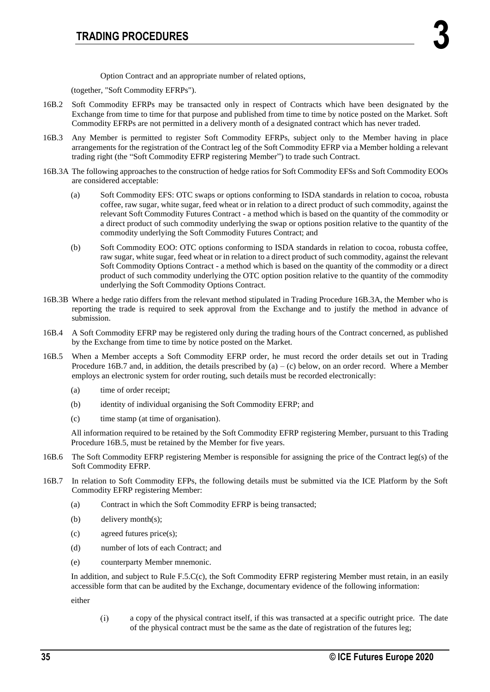Option Contract and an appropriate number of related options,

(together, "Soft Commodity EFRPs").

- 16B.2 Soft Commodity EFRPs may be transacted only in respect of Contracts which have been designated by the Exchange from time to time for that purpose and published from time to time by notice posted on the Market. Soft Commodity EFRPs are not permitted in a delivery month of a designated contract which has never traded.
- 16B.3 Any Member is permitted to register Soft Commodity EFRPs, subject only to the Member having in place arrangements for the registration of the Contract leg of the Soft Commodity EFRP via a Member holding a relevant trading right (the "Soft Commodity EFRP registering Member") to trade such Contract.
- 16B.3A The following approaches to the construction of hedge ratios for Soft Commodity EFSs and Soft Commodity EOOs are considered acceptable:
	- (a) Soft Commodity EFS: OTC swaps or options conforming to ISDA standards in relation to cocoa, robusta coffee, raw sugar, white sugar, feed wheat or in relation to a direct product of such commodity, against the relevant Soft Commodity Futures Contract - a method which is based on the quantity of the commodity or a direct product of such commodity underlying the swap or options position relative to the quantity of the commodity underlying the Soft Commodity Futures Contract; and
	- (b) Soft Commodity EOO: OTC options conforming to ISDA standards in relation to cocoa, robusta coffee, raw sugar, white sugar, feed wheat or in relation to a direct product of such commodity, against the relevant Soft Commodity Options Contract - a method which is based on the quantity of the commodity or a direct product of such commodity underlying the OTC option position relative to the quantity of the commodity underlying the Soft Commodity Options Contract.
- 16B.3B Where a hedge ratio differs from the relevant method stipulated in Trading Procedure 16B.3A, the Member who is reporting the trade is required to seek approval from the Exchange and to justify the method in advance of submission.
- 16B.4 A Soft Commodity EFRP may be registered only during the trading hours of the Contract concerned, as published by the Exchange from time to time by notice posted on the Market.
- 16B.5 When a Member accepts a Soft Commodity EFRP order, he must record the order details set out in Trading Procedure 16B.7 and, in addition, the details prescribed by  $(a) - (c)$  below, on an order record. Where a Member employs an electronic system for order routing, such details must be recorded electronically:
	- (a) time of order receipt;
	- (b) identity of individual organising the Soft Commodity EFRP; and
	- (c) time stamp (at time of organisation).

All information required to be retained by the Soft Commodity EFRP registering Member, pursuant to this Trading Procedure 16B.5, must be retained by the Member for five years.

- 16B.6 The Soft Commodity EFRP registering Member is responsible for assigning the price of the Contract leg(s) of the Soft Commodity EFRP.
- 16B.7 In relation to Soft Commodity EFPs, the following details must be submitted via the ICE Platform by the Soft Commodity EFRP registering Member:
	- (a) Contract in which the Soft Commodity EFRP is being transacted;
	- (b) delivery month(s);
	- (c) agreed futures price(s);
	- (d) number of lots of each Contract; and
	- (e) counterparty Member mnemonic.

In addition, and subject to Rule F.5.C(c), the Soft Commodity EFRP registering Member must retain, in an easily accessible form that can be audited by the Exchange, documentary evidence of the following information:

either

 $(i)$ a copy of the physical contract itself, if this was transacted at a specific outright price. The date of the physical contract must be the same as the date of registration of the futures leg;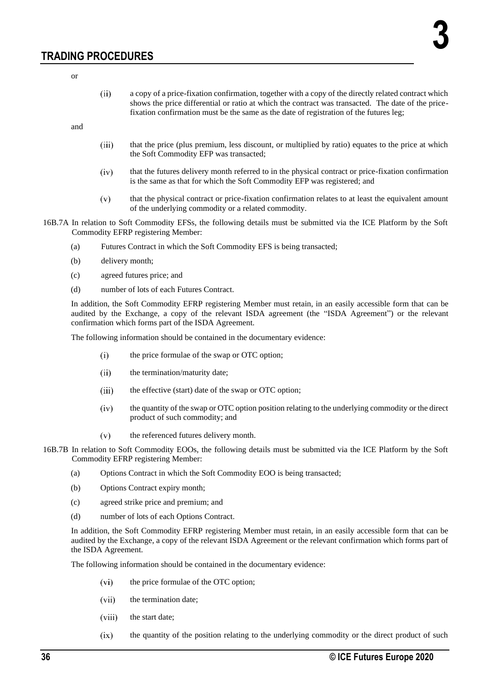or

a copy of a price-fixation confirmation, together with a copy of the directly related contract which  $(ii)$ shows the price differential or ratio at which the contract was transacted. The date of the pricefixation confirmation must be the same as the date of registration of the futures leg;

and

- $(iii)$ that the price (plus premium, less discount, or multiplied by ratio) equates to the price at which the Soft Commodity EFP was transacted;
- that the futures delivery month referred to in the physical contract or price-fixation confirmation  $(iv)$ is the same as that for which the Soft Commodity EFP was registered; and
- $(v)$ that the physical contract or price-fixation confirmation relates to at least the equivalent amount of the underlying commodity or a related commodity.
- 16B.7A In relation to Soft Commodity EFSs, the following details must be submitted via the ICE Platform by the Soft Commodity EFRP registering Member:
	- (a) Futures Contract in which the Soft Commodity EFS is being transacted;
	- (b) delivery month;
	- (c) agreed futures price; and
	- (d) number of lots of each Futures Contract.

In addition, the Soft Commodity EFRP registering Member must retain, in an easily accessible form that can be audited by the Exchange, a copy of the relevant ISDA agreement (the "ISDA Agreement") or the relevant confirmation which forms part of the ISDA Agreement.

The following information should be contained in the documentary evidence:

- $(i)$ the price formulae of the swap or OTC option;
- $(ii)$ the termination/maturity date;
- $(iii)$ the effective (start) date of the swap or OTC option;
- $(iv)$ the quantity of the swap or OTC option position relating to the underlying commodity or the direct product of such commodity; and
- $(v)$ the referenced futures delivery month.
- 16B.7B In relation to Soft Commodity EOOs, the following details must be submitted via the ICE Platform by the Soft Commodity EFRP registering Member:
	- (a) Options Contract in which the Soft Commodity EOO is being transacted;
	- (b) Options Contract expiry month;
	- (c) agreed strike price and premium; and
	- (d) number of lots of each Options Contract.

In addition, the Soft Commodity EFRP registering Member must retain, in an easily accessible form that can be audited by the Exchange, a copy of the relevant ISDA Agreement or the relevant confirmation which forms part of the ISDA Agreement.

The following information should be contained in the documentary evidence:

- the price formulae of the OTC option;  $(vi)$
- $(vii)$ the termination date;
- $(viii)$ the start date;
- $(ix)$ the quantity of the position relating to the underlying commodity or the direct product of such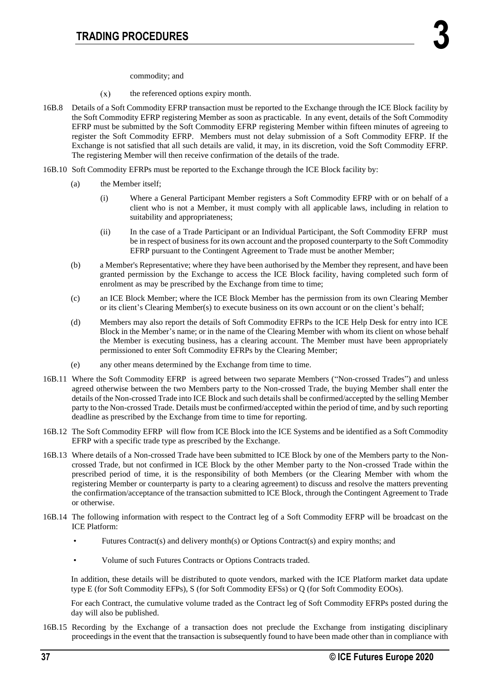commodity; and

- $(x)$ the referenced options expiry month.
- 16B.8 Details of a Soft Commodity EFRP transaction must be reported to the Exchange through the ICE Block facility by the Soft Commodity EFRP registering Member as soon as practicable. In any event, details of the Soft Commodity EFRP must be submitted by the Soft Commodity EFRP registering Member within fifteen minutes of agreeing to register the Soft Commodity EFRP. Members must not delay submission of a Soft Commodity EFRP. If the Exchange is not satisfied that all such details are valid, it may, in its discretion, void the Soft Commodity EFRP. The registering Member will then receive confirmation of the details of the trade.
- 16B.10 Soft Commodity EFRPs must be reported to the Exchange through the ICE Block facility by:
	- (a) the Member itself;
		- (i) Where a General Participant Member registers a Soft Commodity EFRP with or on behalf of a client who is not a Member, it must comply with all applicable laws, including in relation to suitability and appropriateness;
		- (ii) In the case of a Trade Participant or an Individual Participant, the Soft Commodity EFRP must be in respect of business for its own account and the proposed counterparty to the Soft Commodity EFRP pursuant to the Contingent Agreement to Trade must be another Member;
	- (b) a Member's Representative; where they have been authorised by the Member they represent, and have been granted permission by the Exchange to access the ICE Block facility, having completed such form of enrolment as may be prescribed by the Exchange from time to time;
	- (c) an ICE Block Member; where the ICE Block Member has the permission from its own Clearing Member or its client's Clearing Member(s) to execute business on its own account or on the client's behalf;
	- (d) Members may also report the details of Soft Commodity EFRPs to the ICE Help Desk for entry into ICE Block in the Member's name; or in the name of the Clearing Member with whom its client on whose behalf the Member is executing business, has a clearing account. The Member must have been appropriately permissioned to enter Soft Commodity EFRPs by the Clearing Member;
	- (e) any other means determined by the Exchange from time to time.
- 16B.11 Where the Soft Commodity EFRP is agreed between two separate Members ("Non-crossed Trades") and unless agreed otherwise between the two Members party to the Non-crossed Trade, the buying Member shall enter the details of the Non-crossed Trade into ICE Block and such details shall be confirmed/accepted by the selling Member party to the Non-crossed Trade. Details must be confirmed/accepted within the period of time, and by such reporting deadline as prescribed by the Exchange from time to time for reporting.
- 16B.12 The Soft Commodity EFRP will flow from ICE Block into the ICE Systems and be identified as a Soft Commodity EFRP with a specific trade type as prescribed by the Exchange.
- 16B.13 Where details of a Non-crossed Trade have been submitted to ICE Block by one of the Members party to the Noncrossed Trade, but not confirmed in ICE Block by the other Member party to the Non-crossed Trade within the prescribed period of time, it is the responsibility of both Members (or the Clearing Member with whom the registering Member or counterparty is party to a clearing agreement) to discuss and resolve the matters preventing the confirmation/acceptance of the transaction submitted to ICE Block, through the Contingent Agreement to Trade or otherwise.
- 16B.14 The following information with respect to the Contract leg of a Soft Commodity EFRP will be broadcast on the ICE Platform:
	- Futures Contract(s) and delivery month(s) or Options Contract(s) and expiry months; and
	- Volume of such Futures Contracts or Options Contracts traded.

In addition, these details will be distributed to quote vendors, marked with the ICE Platform market data update type E (for Soft Commodity EFPs), S (for Soft Commodity EFSs) or Q (for Soft Commodity EOOs).

For each Contract, the cumulative volume traded as the Contract leg of Soft Commodity EFRPs posted during the day will also be published.

16B.15 Recording by the Exchange of a transaction does not preclude the Exchange from instigating disciplinary proceedings in the event that the transaction is subsequently found to have been made other than in compliance with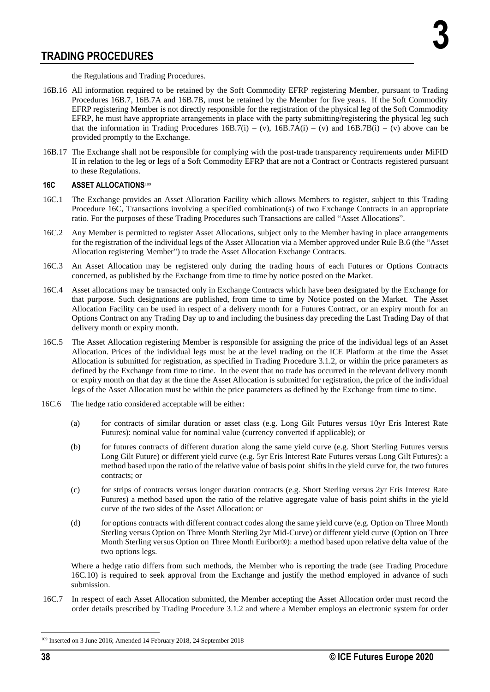the Regulations and Trading Procedures.

- 16B.16 All information required to be retained by the Soft Commodity EFRP registering Member, pursuant to Trading Procedures 16B.7, 16B.7A and 16B.7B, must be retained by the Member for five years. If the Soft Commodity EFRP registering Member is not directly responsible for the registration of the physical leg of the Soft Commodity EFRP, he must have appropriate arrangements in place with the party submitting/registering the physical leg such that the information in Trading Procedures  $16B.7(i) - (v)$ ,  $16B.7A(i) - (v)$  and  $16B.7B(i) - (v)$  above can be provided promptly to the Exchange.
- 16B.17 The Exchange shall not be responsible for complying with the post-trade transparency requirements under MiFID II in relation to the leg or legs of a Soft Commodity EFRP that are not a Contract or Contracts registered pursuant to these Regulations.

## **16C ASSET ALLOCATIONS**<sup>109</sup>

- 16C.1 The Exchange provides an Asset Allocation Facility which allows Members to register, subject to this Trading Procedure 16C, Transactions involving a specified combination(s) of two Exchange Contracts in an appropriate ratio. For the purposes of these Trading Procedures such Transactions are called "Asset Allocations".
- 16C.2 Any Member is permitted to register Asset Allocations, subject only to the Member having in place arrangements for the registration of the individual legs of the Asset Allocation via a Member approved under Rule B.6 (the "Asset Allocation registering Member") to trade the Asset Allocation Exchange Contracts.
- 16C.3 An Asset Allocation may be registered only during the trading hours of each Futures or Options Contracts concerned, as published by the Exchange from time to time by notice posted on the Market.
- 16C.4 Asset allocations may be transacted only in Exchange Contracts which have been designated by the Exchange for that purpose. Such designations are published, from time to time by Notice posted on the Market. The Asset Allocation Facility can be used in respect of a delivery month for a Futures Contract, or an expiry month for an Options Contract on any Trading Day up to and including the business day preceding the Last Trading Day of that delivery month or expiry month.
- 16C.5 The Asset Allocation registering Member is responsible for assigning the price of the individual legs of an Asset Allocation. Prices of the individual legs must be at the level trading on the ICE Platform at the time the Asset Allocation is submitted for registration, as specified in Trading Procedure 3.1.2, or within the price parameters as defined by the Exchange from time to time. In the event that no trade has occurred in the relevant delivery month or expiry month on that day at the time the Asset Allocation is submitted for registration, the price of the individual legs of the Asset Allocation must be within the price parameters as defined by the Exchange from time to time.
- 16C.6 The hedge ratio considered acceptable will be either:
	- (a) for contracts of similar duration or asset class (e.g. Long Gilt Futures versus 10yr Eris Interest Rate Futures): nominal value for nominal value (currency converted if applicable); or
	- (b) for futures contracts of different duration along the same yield curve (e.g. Short Sterling Futures versus Long Gilt Future) or different yield curve (e.g. 5yr Eris Interest Rate Futures versus Long Gilt Futures): a method based upon the ratio of the relative value of basis point shifts in the yield curve for, the two futures contracts; or
	- (c) for strips of contracts versus longer duration contracts (e.g. Short Sterling versus 2yr Eris Interest Rate Futures) a method based upon the ratio of the relative aggregate value of basis point shifts in the yield curve of the two sides of the Asset Allocation: or
	- (d) for options contracts with different contract codes along the same yield curve (e.g. Option on Three Month Sterling versus Option on Three Month Sterling 2yr Mid-Curve) or different yield curve (Option on Three Month Sterling versus Option on Three Month Euribor®): a method based upon relative delta value of the two options legs.

Where a hedge ratio differs from such methods, the Member who is reporting the trade (see Trading Procedure 16C.10) is required to seek approval from the Exchange and justify the method employed in advance of such submission.

16C.7 In respect of each Asset Allocation submitted, the Member accepting the Asset Allocation order must record the order details prescribed by Trading Procedure 3.1.2 and where a Member employs an electronic system for order

<sup>109</sup> Inserted on 3 June 2016; Amended 14 February 2018, 24 September 2018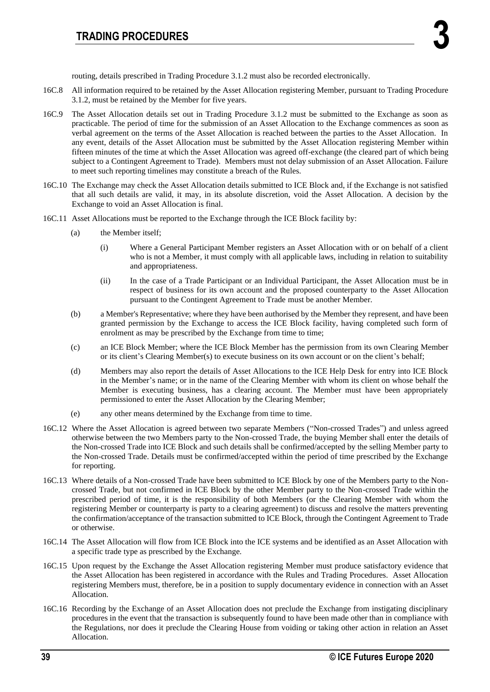routing, details prescribed in Trading Procedure 3.1.2 must also be recorded electronically.

- 16C.8 All information required to be retained by the Asset Allocation registering Member, pursuant to Trading Procedure 3.1.2, must be retained by the Member for five years.
- 16C.9 The Asset Allocation details set out in Trading Procedure 3.1.2 must be submitted to the Exchange as soon as practicable. The period of time for the submission of an Asset Allocation to the Exchange commences as soon as verbal agreement on the terms of the Asset Allocation is reached between the parties to the Asset Allocation. In any event, details of the Asset Allocation must be submitted by the Asset Allocation registering Member within fifteen minutes of the time at which the Asset Allocation was agreed off-exchange (the cleared part of which being subject to a Contingent Agreement to Trade). Members must not delay submission of an Asset Allocation. Failure to meet such reporting timelines may constitute a breach of the Rules.
- 16C.10 The Exchange may check the Asset Allocation details submitted to ICE Block and, if the Exchange is not satisfied that all such details are valid, it may, in its absolute discretion, void the Asset Allocation. A decision by the Exchange to void an Asset Allocation is final.
- 16C.11 Asset Allocations must be reported to the Exchange through the ICE Block facility by:
	- (a) the Member itself;
		- (i) Where a General Participant Member registers an Asset Allocation with or on behalf of a client who is not a Member, it must comply with all applicable laws, including in relation to suitability and appropriateness.
		- (ii) In the case of a Trade Participant or an Individual Participant, the Asset Allocation must be in respect of business for its own account and the proposed counterparty to the Asset Allocation pursuant to the Contingent Agreement to Trade must be another Member.
	- (b) a Member's Representative; where they have been authorised by the Member they represent, and have been granted permission by the Exchange to access the ICE Block facility, having completed such form of enrolment as may be prescribed by the Exchange from time to time;
	- (c) an ICE Block Member; where the ICE Block Member has the permission from its own Clearing Member or its client's Clearing Member(s) to execute business on its own account or on the client's behalf;
	- (d) Members may also report the details of Asset Allocations to the ICE Help Desk for entry into ICE Block in the Member's name; or in the name of the Clearing Member with whom its client on whose behalf the Member is executing business, has a clearing account. The Member must have been appropriately permissioned to enter the Asset Allocation by the Clearing Member;
	- (e) any other means determined by the Exchange from time to time.
- 16C.12 Where the Asset Allocation is agreed between two separate Members ("Non-crossed Trades") and unless agreed otherwise between the two Members party to the Non-crossed Trade, the buying Member shall enter the details of the Non-crossed Trade into ICE Block and such details shall be confirmed/accepted by the selling Member party to the Non-crossed Trade. Details must be confirmed/accepted within the period of time prescribed by the Exchange for reporting.
- 16C.13 Where details of a Non-crossed Trade have been submitted to ICE Block by one of the Members party to the Noncrossed Trade, but not confirmed in ICE Block by the other Member party to the Non-crossed Trade within the prescribed period of time, it is the responsibility of both Members (or the Clearing Member with whom the registering Member or counterparty is party to a clearing agreement) to discuss and resolve the matters preventing the confirmation/acceptance of the transaction submitted to ICE Block, through the Contingent Agreement to Trade or otherwise.
- 16C.14 The Asset Allocation will flow from ICE Block into the ICE systems and be identified as an Asset Allocation with a specific trade type as prescribed by the Exchange.
- 16C.15 Upon request by the Exchange the Asset Allocation registering Member must produce satisfactory evidence that the Asset Allocation has been registered in accordance with the Rules and Trading Procedures. Asset Allocation registering Members must, therefore, be in a position to supply documentary evidence in connection with an Asset Allocation.
- 16C.16 Recording by the Exchange of an Asset Allocation does not preclude the Exchange from instigating disciplinary procedures in the event that the transaction is subsequently found to have been made other than in compliance with the Regulations, nor does it preclude the Clearing House from voiding or taking other action in relation an Asset Allocation.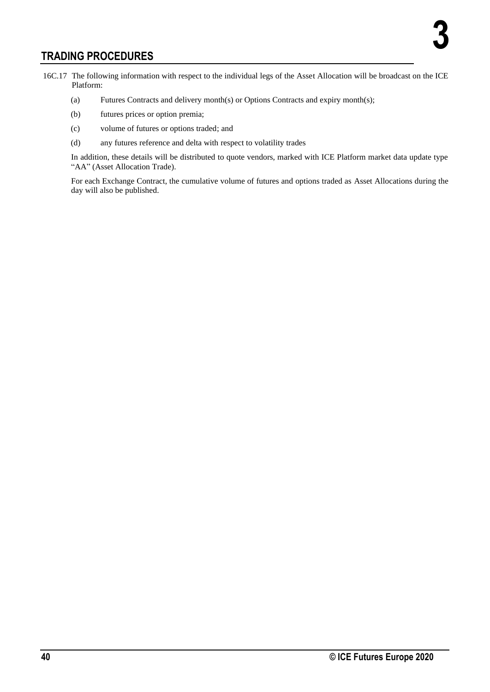- 16C.17 The following information with respect to the individual legs of the Asset Allocation will be broadcast on the ICE Platform:
	- (a) Futures Contracts and delivery month(s) or Options Contracts and expiry month(s);
	- (b) futures prices or option premia;
	- (c) volume of futures or options traded; and
	- (d) any futures reference and delta with respect to volatility trades

In addition, these details will be distributed to quote vendors, marked with ICE Platform market data update type "AA" (Asset Allocation Trade).

For each Exchange Contract, the cumulative volume of futures and options traded as Asset Allocations during the day will also be published.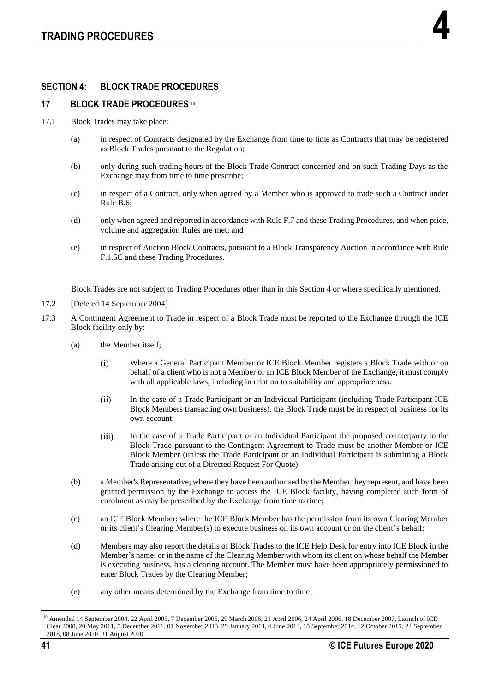## **SECTION 4: BLOCK TRADE PROCEDURES**

## **17 BLOCK TRADE PROCEDURES**<sup>110</sup>

- 17.1 Block Trades may take place:
	- (a) in respect of Contracts designated by the Exchange from time to time as Contracts that may be registered as Block Trades pursuant to the Regulation;
	- (b) only during such trading hours of the Block Trade Contract concerned and on such Trading Days as the Exchange may from time to time prescribe;
	- (c) in respect of a Contract, only when agreed by a Member who is approved to trade such a Contract under Rule B.6;
	- (d) only when agreed and reported in accordance with Rule F.7 and these Trading Procedures, and when price, volume and aggregation Rules are met; and
	- (e) in respect of Auction Block Contracts, pursuant to a Block Transparency Auction in accordance with Rule F.1.5C and these Trading Procedures.

Block Trades are not subject to Trading Procedures other than in this Section 4 or where specifically mentioned.

- 17.2 [Deleted 14 September 2004]
- 17.3 A Contingent Agreement to Trade in respect of a Block Trade must be reported to the Exchange through the ICE Block facility only by:
	- (a) the Member itself;
		- Where a General Participant Member or ICE Block Member registers a Block Trade with or on  $(i)$ behalf of a client who is not a Member or an ICE Block Member of the Exchange, it must comply with all applicable laws, including in relation to suitability and appropriateness.
		- $(ii)$ In the case of a Trade Participant or an Individual Participant (including Trade Participant ICE Block Members transacting own business), the Block Trade must be in respect of business for its own account.
		- $(iii)$ In the case of a Trade Participant or an Individual Participant the proposed counterparty to the Block Trade pursuant to the Contingent Agreement to Trade must be another Member or ICE Block Member (unless the Trade Participant or an Individual Participant is submitting a Block Trade arising out of a Directed Request For Quote).
	- (b) a Member's Representative; where they have been authorised by the Member they represent, and have been granted permission by the Exchange to access the ICE Block facility, having completed such form of enrolment as may be prescribed by the Exchange from time to time;
	- (c) an ICE Block Member; where the ICE Block Member has the permission from its own Clearing Member or its client's Clearing Member(s) to execute business on its own account or on the client's behalf;
	- (d) Members may also report the details of Block Trades to the ICE Help Desk for entry into ICE Block in the Member's name; or in the name of the Clearing Member with whom its client on whose behalf the Member is executing business, has a clearing account. The Member must have been appropriately permissioned to enter Block Trades by the Clearing Member;
	- (e) any other means determined by the Exchange from time to time,

<sup>110</sup> Amended 14 September 2004, 22 April 2005, 7 December 2005, 29 March 2006, 21 April 2006, 24 April 2006, 18 December 2007, Launch of ICE Clear 2008, 20 May 2011, 5 December 2011. 01 November 2013, 29 January 2014, 4 June 2014, 18 September 2014, 12 October 2015, 24 September 2018, 08 June 2020, 31 August 2020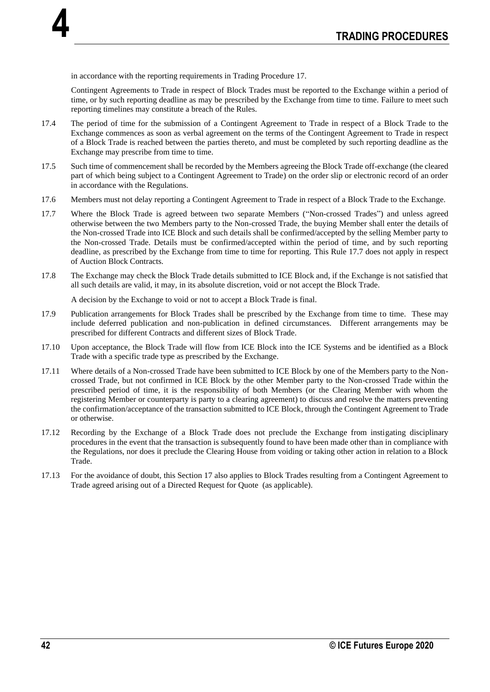in accordance with the reporting requirements in Trading Procedure 17.

**4**

Contingent Agreements to Trade in respect of Block Trades must be reported to the Exchange within a period of time, or by such reporting deadline as may be prescribed by the Exchange from time to time. Failure to meet such reporting timelines may constitute a breach of the Rules.

- 17.4 The period of time for the submission of a Contingent Agreement to Trade in respect of a Block Trade to the Exchange commences as soon as verbal agreement on the terms of the Contingent Agreement to Trade in respect of a Block Trade is reached between the parties thereto, and must be completed by such reporting deadline as the Exchange may prescribe from time to time.
- 17.5 Such time of commencement shall be recorded by the Members agreeing the Block Trade off-exchange (the cleared part of which being subject to a Contingent Agreement to Trade) on the order slip or electronic record of an order in accordance with the Regulations.
- 17.6 Members must not delay reporting a Contingent Agreement to Trade in respect of a Block Trade to the Exchange.
- 17.7 Where the Block Trade is agreed between two separate Members ("Non-crossed Trades") and unless agreed otherwise between the two Members party to the Non-crossed Trade, the buying Member shall enter the details of the Non-crossed Trade into ICE Block and such details shall be confirmed/accepted by the selling Member party to the Non-crossed Trade. Details must be confirmed/accepted within the period of time, and by such reporting deadline, as prescribed by the Exchange from time to time for reporting. This Rule 17.7 does not apply in respect of Auction Block Contracts.
- 17.8 The Exchange may check the Block Trade details submitted to ICE Block and, if the Exchange is not satisfied that all such details are valid, it may, in its absolute discretion, void or not accept the Block Trade.

A decision by the Exchange to void or not to accept a Block Trade is final.

- 17.9 Publication arrangements for Block Trades shall be prescribed by the Exchange from time to time. These may include deferred publication and non-publication in defined circumstances. Different arrangements may be prescribed for different Contracts and different sizes of Block Trade.
- 17.10 Upon acceptance, the Block Trade will flow from ICE Block into the ICE Systems and be identified as a Block Trade with a specific trade type as prescribed by the Exchange.
- 17.11 Where details of a Non-crossed Trade have been submitted to ICE Block by one of the Members party to the Noncrossed Trade, but not confirmed in ICE Block by the other Member party to the Non-crossed Trade within the prescribed period of time, it is the responsibility of both Members (or the Clearing Member with whom the registering Member or counterparty is party to a clearing agreement) to discuss and resolve the matters preventing the confirmation/acceptance of the transaction submitted to ICE Block, through the Contingent Agreement to Trade or otherwise.
- 17.12 Recording by the Exchange of a Block Trade does not preclude the Exchange from instigating disciplinary procedures in the event that the transaction is subsequently found to have been made other than in compliance with the Regulations, nor does it preclude the Clearing House from voiding or taking other action in relation to a Block Trade.
- 17.13 For the avoidance of doubt, this Section 17 also applies to Block Trades resulting from a Contingent Agreement to Trade agreed arising out of a Directed Request for Quote (as applicable).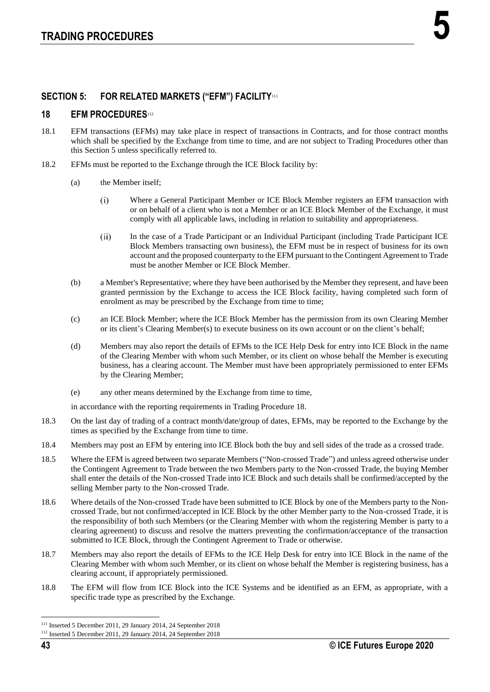## **SECTION 5: FOR RELATED MARKETS ("EFM") FACILITY**<sup>111</sup>

## **18 EFM PROCEDURES**<sup>112</sup>

- 18.1 EFM transactions (EFMs) may take place in respect of transactions in Contracts, and for those contract months which shall be specified by the Exchange from time to time, and are not subject to Trading Procedures other than this Section 5 unless specifically referred to.
- 18.2 EFMs must be reported to the Exchange through the ICE Block facility by:
	- (a) the Member itself;
		- $(i)$ Where a General Participant Member or ICE Block Member registers an EFM transaction with or on behalf of a client who is not a Member or an ICE Block Member of the Exchange, it must comply with all applicable laws, including in relation to suitability and appropriateness.
		- $(ii)$ In the case of a Trade Participant or an Individual Participant (including Trade Participant ICE Block Members transacting own business), the EFM must be in respect of business for its own account and the proposed counterparty to the EFM pursuant to the Contingent Agreement to Trade must be another Member or ICE Block Member.
	- (b) a Member's Representative; where they have been authorised by the Member they represent, and have been granted permission by the Exchange to access the ICE Block facility, having completed such form of enrolment as may be prescribed by the Exchange from time to time;
	- (c) an ICE Block Member; where the ICE Block Member has the permission from its own Clearing Member or its client's Clearing Member(s) to execute business on its own account or on the client's behalf;
	- (d) Members may also report the details of EFMs to the ICE Help Desk for entry into ICE Block in the name of the Clearing Member with whom such Member, or its client on whose behalf the Member is executing business, has a clearing account. The Member must have been appropriately permissioned to enter EFMs by the Clearing Member;
	- (e) any other means determined by the Exchange from time to time,

in accordance with the reporting requirements in Trading Procedure 18.

- 18.3 On the last day of trading of a contract month/date/group of dates, EFMs, may be reported to the Exchange by the times as specified by the Exchange from time to time.
- 18.4 Members may post an EFM by entering into ICE Block both the buy and sell sides of the trade as a crossed trade.
- 18.5 Where the EFM is agreed between two separate Members ("Non-crossed Trade") and unless agreed otherwise under the Contingent Agreement to Trade between the two Members party to the Non-crossed Trade, the buying Member shall enter the details of the Non-crossed Trade into ICE Block and such details shall be confirmed/accepted by the selling Member party to the Non-crossed Trade.
- 18.6 Where details of the Non-crossed Trade have been submitted to ICE Block by one of the Members party to the Noncrossed Trade, but not confirmed/accepted in ICE Block by the other Member party to the Non-crossed Trade, it is the responsibility of both such Members (or the Clearing Member with whom the registering Member is party to a clearing agreement) to discuss and resolve the matters preventing the confirmation/acceptance of the transaction submitted to ICE Block, through the Contingent Agreement to Trade or otherwise.
- 18.7 Members may also report the details of EFMs to the ICE Help Desk for entry into ICE Block in the name of the Clearing Member with whom such Member, or its client on whose behalf the Member is registering business, has a clearing account, if appropriately permissioned.
- 18.8 The EFM will flow from ICE Block into the ICE Systems and be identified as an EFM, as appropriate, with a specific trade type as prescribed by the Exchange.

<sup>111</sup> Inserted 5 December 2011, 29 January 2014, 24 September 2018

<sup>112</sup> Inserted 5 December 2011, 29 January 2014, 24 September 2018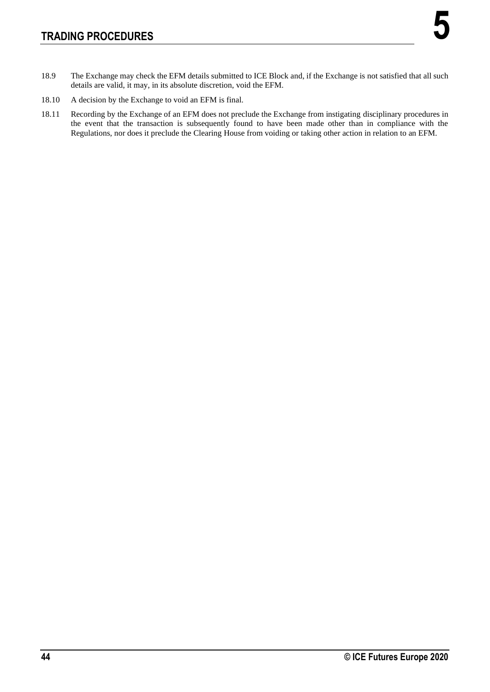- 18.9 The Exchange may check the EFM details submitted to ICE Block and, if the Exchange is not satisfied that all such details are valid, it may, in its absolute discretion, void the EFM.
- 18.10 A decision by the Exchange to void an EFM is final.
- 18.11 Recording by the Exchange of an EFM does not preclude the Exchange from instigating disciplinary procedures in the event that the transaction is subsequently found to have been made other than in compliance with the Regulations, nor does it preclude the Clearing House from voiding or taking other action in relation to an EFM.